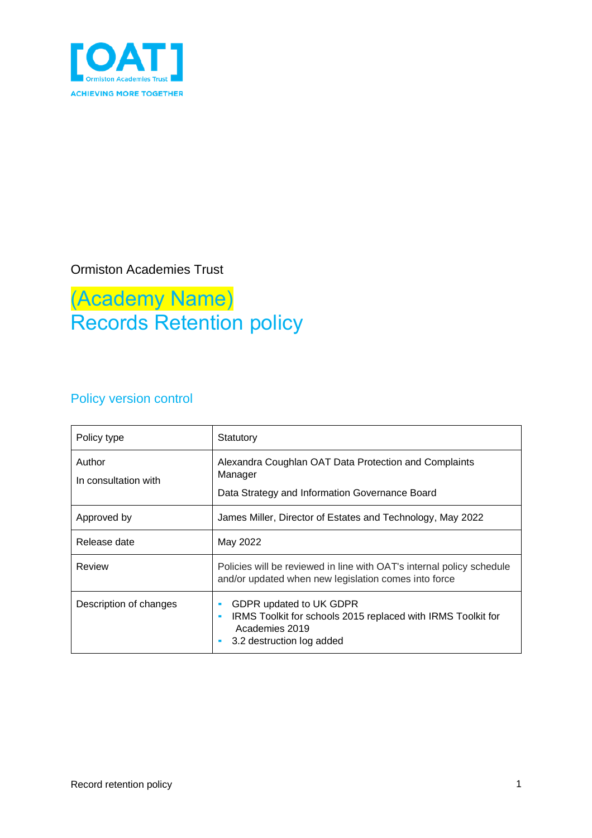

### Ormiston Academies Trust

### (Academy Name) Records Retention policy

### Policy version control

| Policy type                    | Statutory                                                                                                                                        |  |  |
|--------------------------------|--------------------------------------------------------------------------------------------------------------------------------------------------|--|--|
| Author<br>In consultation with | Alexandra Coughlan OAT Data Protection and Complaints<br>Manager<br>Data Strategy and Information Governance Board                               |  |  |
| Approved by                    | James Miller, Director of Estates and Technology, May 2022                                                                                       |  |  |
| Release date                   | May 2022                                                                                                                                         |  |  |
| Review                         | Policies will be reviewed in line with OAT's internal policy schedule<br>and/or updated when new legislation comes into force                    |  |  |
| Description of changes         | GDPR updated to UK GDPR<br>ш<br>IRMS Toolkit for schools 2015 replaced with IRMS Toolkit for<br>٠<br>Academies 2019<br>3.2 destruction log added |  |  |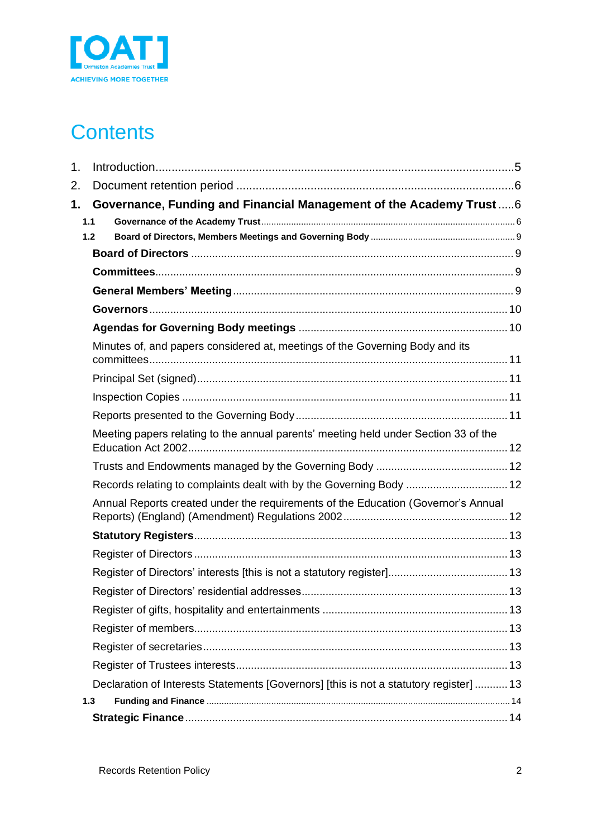

### **Contents**

| 1. |                                                                                        |  |
|----|----------------------------------------------------------------------------------------|--|
| 2. |                                                                                        |  |
| 1. | Governance, Funding and Financial Management of the Academy Trust  6                   |  |
|    | 1.1                                                                                    |  |
|    | 1.2                                                                                    |  |
|    |                                                                                        |  |
|    |                                                                                        |  |
|    |                                                                                        |  |
|    |                                                                                        |  |
|    |                                                                                        |  |
|    | Minutes of, and papers considered at, meetings of the Governing Body and its           |  |
|    |                                                                                        |  |
|    |                                                                                        |  |
|    |                                                                                        |  |
|    |                                                                                        |  |
|    | Meeting papers relating to the annual parents' meeting held under Section 33 of the    |  |
|    |                                                                                        |  |
|    | Records relating to complaints dealt with by the Governing Body  12                    |  |
|    | Annual Reports created under the requirements of the Education (Governor's Annual      |  |
|    |                                                                                        |  |
|    |                                                                                        |  |
|    |                                                                                        |  |
|    |                                                                                        |  |
|    |                                                                                        |  |
|    |                                                                                        |  |
|    |                                                                                        |  |
|    |                                                                                        |  |
|    | Declaration of Interests Statements [Governors] [this is not a statutory register]  13 |  |
|    | 1.3                                                                                    |  |
|    |                                                                                        |  |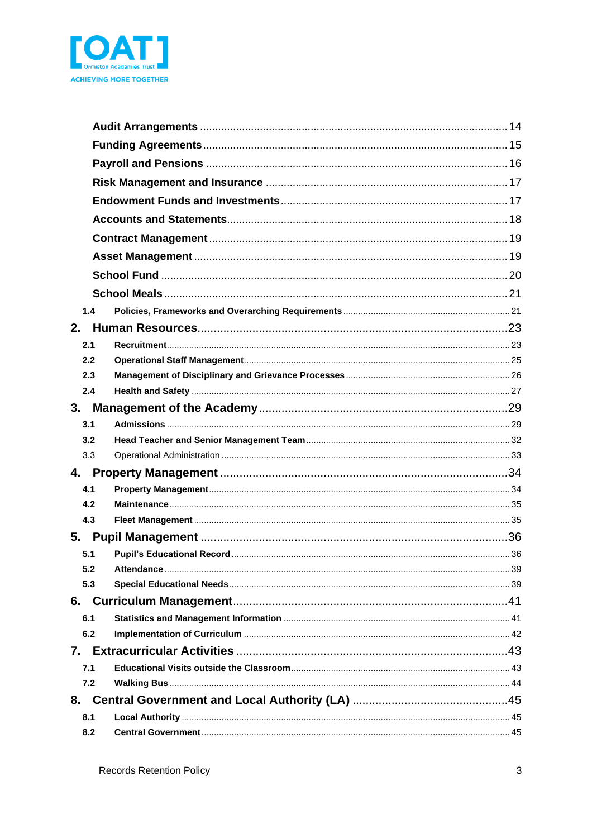

| 1.4 |  |  |  |  |  |  |
|-----|--|--|--|--|--|--|
| 2.  |  |  |  |  |  |  |
| 2.1 |  |  |  |  |  |  |
| 2.2 |  |  |  |  |  |  |
| 2.3 |  |  |  |  |  |  |
| 2.4 |  |  |  |  |  |  |
| 3.  |  |  |  |  |  |  |
| 3.1 |  |  |  |  |  |  |
| 3.2 |  |  |  |  |  |  |
| 3.3 |  |  |  |  |  |  |
|     |  |  |  |  |  |  |
| 4.1 |  |  |  |  |  |  |
| 4.2 |  |  |  |  |  |  |
| 4.3 |  |  |  |  |  |  |
|     |  |  |  |  |  |  |
| 5.1 |  |  |  |  |  |  |
| 5.2 |  |  |  |  |  |  |
| 5.3 |  |  |  |  |  |  |
|     |  |  |  |  |  |  |
| 6.1 |  |  |  |  |  |  |
| 6.2 |  |  |  |  |  |  |
|     |  |  |  |  |  |  |
| 7.1 |  |  |  |  |  |  |
| 7.2 |  |  |  |  |  |  |
|     |  |  |  |  |  |  |
| 8.1 |  |  |  |  |  |  |
| 8.2 |  |  |  |  |  |  |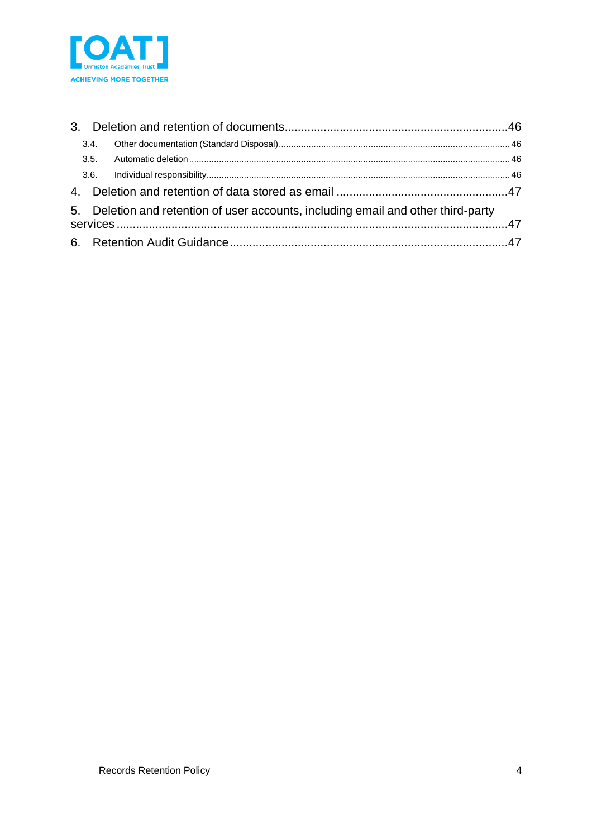

| 3.4. |                                                                                   |  |
|------|-----------------------------------------------------------------------------------|--|
|      |                                                                                   |  |
|      |                                                                                   |  |
|      |                                                                                   |  |
|      | 5. Deletion and retention of user accounts, including email and other third-party |  |
|      |                                                                                   |  |
|      |                                                                                   |  |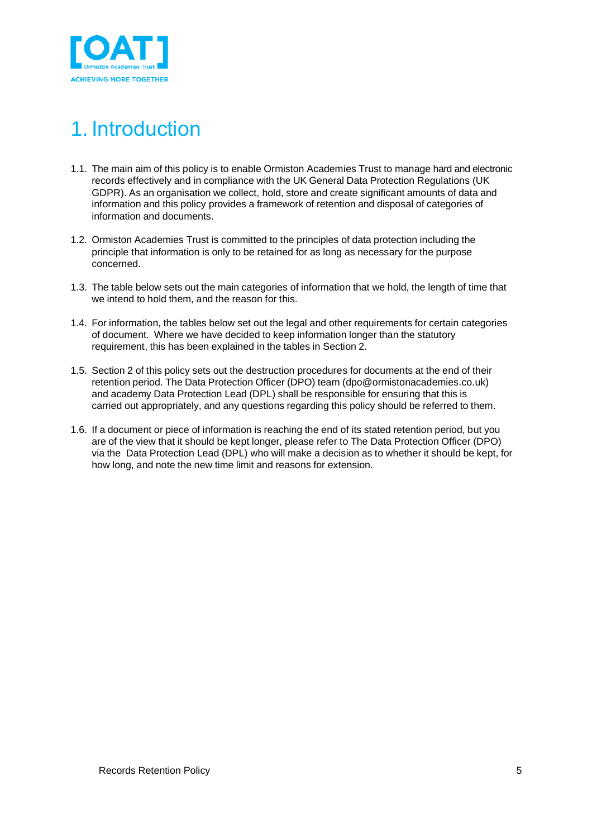

# <span id="page-4-0"></span>1. Introduction

- 1.1. The main aim of this policy is to enable Ormiston Academies Trust to manage hard and electronic records effectively and in compliance with the UK General Data Protection Regulations (UK GDPR). As an organisation we collect, hold, store and create significant amounts of data and information and this policy provides a framework of retention and disposal of categories of information and documents.
- 1.2. Ormiston Academies Trust is committed to the principles of data protection including the principle that information is only to be retained for as long as necessary for the purpose concerned.
- 1.3. The table below sets out the main categories of information that we hold, the length of time that we intend to hold them, and the reason for this.
- 1.4. For information, the tables below set out the legal and other requirements for certain categories of document. Where we have decided to keep information longer than the statutory requirement, this has been explained in the tables in Section 2.
- 1.5. Section 2 of this policy sets out the destruction procedures for documents at the end of their retention period. The Data Protection Officer (DPO) team (dpo@ormistonacademies.co.uk) and academy Data Protection Lead (DPL) shall be responsible for ensuring that this is carried out appropriately, and any questions regarding this policy should be referred to them.
- 1.6. If a document or piece of information is reaching the end of its stated retention period, but you are of the view that it should be kept longer, please refer to The Data Protection Officer (DPO) via the Data Protection Lead (DPL) who will make a decision as to whether it should be kept, for how long, and note the new time limit and reasons for extension.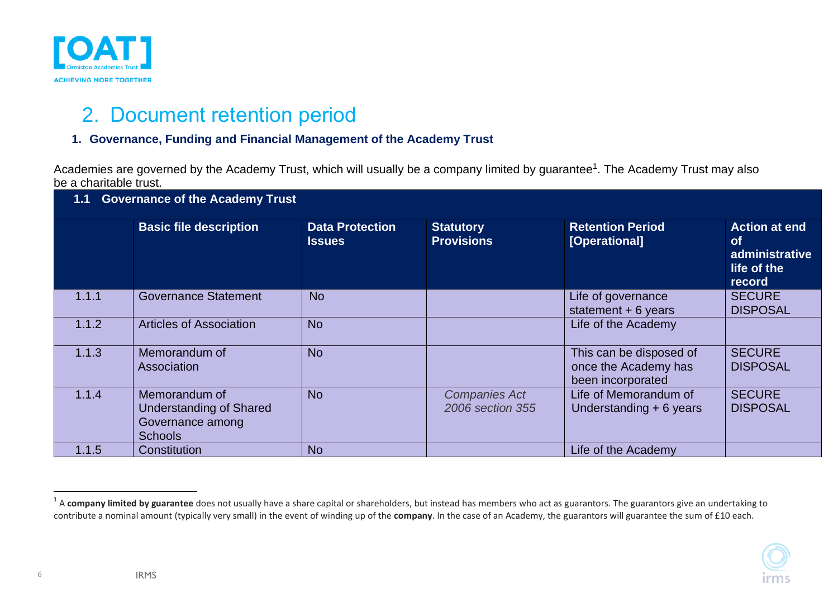

### 2. Document retention period

### **1. Governance, Funding and Financial Management of the Academy Trust**

Academies are governed by the Academy Trust, which will usually be a company limited by guarantee<sup>1</sup>. The Academy Trust may also be a charitable trust.

<span id="page-5-0"></span>

| <b>Governance of the Academy Trust</b> |                                                                                       |                                         |                                          |                                                                      |                                                                              |  |
|----------------------------------------|---------------------------------------------------------------------------------------|-----------------------------------------|------------------------------------------|----------------------------------------------------------------------|------------------------------------------------------------------------------|--|
|                                        | <b>Basic file description</b>                                                         | <b>Data Protection</b><br><b>Issues</b> | <b>Statutory</b><br><b>Provisions</b>    | <b>Retention Period</b><br>[Operational]                             | <b>Action at end</b><br><b>of</b><br>administrative<br>life of the<br>record |  |
| 1.1.1                                  | <b>Governance Statement</b>                                                           | <b>No</b>                               |                                          | Life of governance<br>statement $+6$ years                           | <b>SECURE</b><br><b>DISPOSAL</b>                                             |  |
| 1.1.2                                  | <b>Articles of Association</b>                                                        | <b>No</b>                               |                                          | Life of the Academy                                                  |                                                                              |  |
| 1.1.3                                  | Memorandum of<br>Association                                                          | <b>No</b>                               |                                          | This can be disposed of<br>once the Academy has<br>been incorporated | <b>SECURE</b><br><b>DISPOSAL</b>                                             |  |
| 1.1.4                                  | Memorandum of<br><b>Understanding of Shared</b><br>Governance among<br><b>Schools</b> | <b>No</b>                               | <b>Companies Act</b><br>2006 section 355 | Life of Memorandum of<br>Understanding $+6$ years                    | <b>SECURE</b><br><b>DISPOSAL</b>                                             |  |
| 1.1.5                                  | Constitution                                                                          | <b>No</b>                               |                                          | Life of the Academy                                                  |                                                                              |  |

<span id="page-5-2"></span><span id="page-5-1"></span><sup>&</sup>lt;sup>1</sup> A company limited by guarantee does not usually have a share capital or shareholders, but instead has members who act as guarantors. The guarantors give an undertaking to contribute a nominal amount (typically very small) in the event of winding up of the **company**. In the case of an Academy, the guarantors will guarantee the sum of £10 each.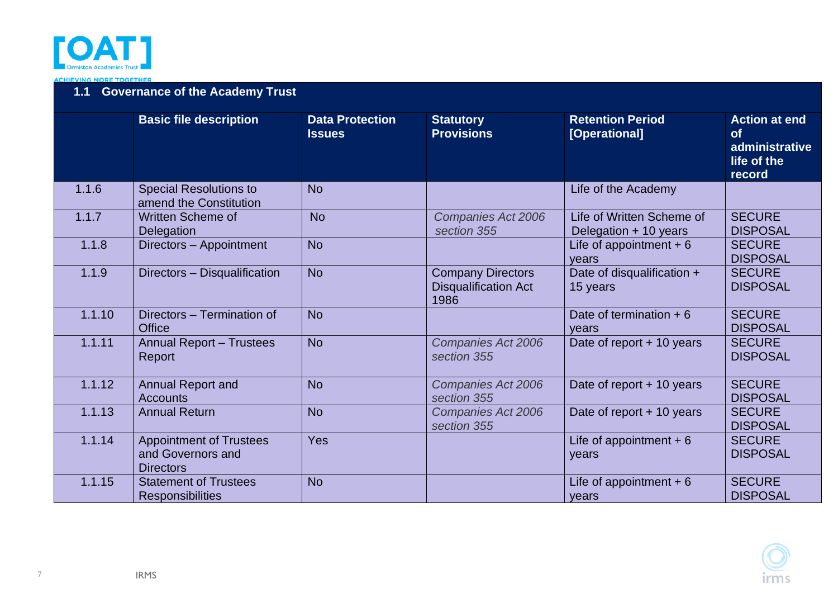

**ACHIEVING MORE TOGETHER** 

### **1.1 Governance of the Academy Trust**

|        | <b>Basic file description</b>                                           | <b>Data Protection</b><br><b>Issues</b> | <b>Statutory</b><br><b>Provisions</b>                           | <b>Retention Period</b><br>[Operational]           | <b>Action at end</b><br><b>of</b><br>administrative<br>life of the<br>record |
|--------|-------------------------------------------------------------------------|-----------------------------------------|-----------------------------------------------------------------|----------------------------------------------------|------------------------------------------------------------------------------|
| 1.1.6  | <b>Special Resolutions to</b><br>amend the Constitution                 | <b>No</b>                               |                                                                 | Life of the Academy                                |                                                                              |
| 1.1.7  | <b>Written Scheme of</b><br>Delegation                                  | <b>No</b>                               | <b>Companies Act 2006</b><br>section 355                        | Life of Written Scheme of<br>Delegation + 10 years | <b>SECURE</b><br><b>DISPOSAL</b>                                             |
| 1.1.8  | Directors - Appointment                                                 | <b>No</b>                               |                                                                 | Life of appointment $+6$<br>years                  | <b>SECURE</b><br><b>DISPOSAL</b>                                             |
| 1.1.9  | Directors - Disqualification                                            | <b>No</b>                               | <b>Company Directors</b><br><b>Disqualification Act</b><br>1986 | Date of disqualification +<br>15 years             | <b>SECURE</b><br><b>DISPOSAL</b>                                             |
| 1.1.10 | Directors - Termination of<br><b>Office</b>                             | <b>No</b>                               |                                                                 | Date of termination $+6$<br>years                  | <b>SECURE</b><br><b>DISPOSAL</b>                                             |
| 1.1.11 | <b>Annual Report - Trustees</b><br>Report                               | <b>No</b>                               | Companies Act 2006<br>section 355                               | Date of report + 10 years                          | <b>SECURE</b><br><b>DISPOSAL</b>                                             |
| 1.1.12 | <b>Annual Report and</b><br><b>Accounts</b>                             | <b>No</b>                               | Companies Act 2006<br>section 355                               | Date of report + 10 years                          | <b>SECURE</b><br><b>DISPOSAL</b>                                             |
| 1.1.13 | <b>Annual Return</b>                                                    | <b>No</b>                               | <b>Companies Act 2006</b><br>section 355                        | Date of report + 10 years                          | <b>SECURE</b><br><b>DISPOSAL</b>                                             |
| 1.1.14 | <b>Appointment of Trustees</b><br>and Governors and<br><b>Directors</b> | <b>Yes</b>                              |                                                                 | Life of appointment $+6$<br>years                  | <b>SECURE</b><br><b>DISPOSAL</b>                                             |
| 1.1.15 | <b>Statement of Trustees</b><br><b>Responsibilities</b>                 | <b>No</b>                               |                                                                 | Life of appointment $+6$<br>years                  | <b>SECURE</b><br><b>DISPOSAL</b>                                             |



7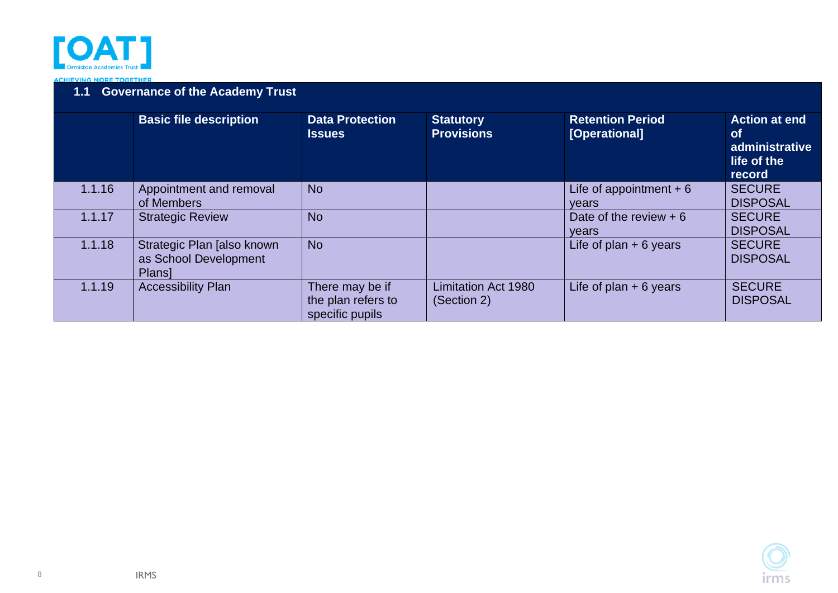

#### **ACHIEVING MORE TOGETHER**

### **1.1 Governance of the Academy Trust**

| <b>Basic file description</b><br><b>Data Protection</b><br><b>Retention Period</b><br><b>Action at end</b><br><b>Statutory</b> |                                                                      |                                                          |                                           |                                   |                                                      |
|--------------------------------------------------------------------------------------------------------------------------------|----------------------------------------------------------------------|----------------------------------------------------------|-------------------------------------------|-----------------------------------|------------------------------------------------------|
|                                                                                                                                |                                                                      | <b>Issues</b>                                            | <b>Provisions</b>                         | [Operational]                     | <b>of</b><br>administrative<br>life of the<br>record |
| 1.1.16                                                                                                                         | Appointment and removal<br>of Members                                | <b>No</b>                                                |                                           | Life of appointment $+6$<br>vears | <b>SECURE</b><br><b>DISPOSAL</b>                     |
| 1.1.17                                                                                                                         | <b>Strategic Review</b>                                              | <b>No</b>                                                |                                           | Date of the review $+6$<br>vears  | <b>SECURE</b><br><b>DISPOSAL</b>                     |
| 1.1.18                                                                                                                         | Strategic Plan [also known<br>as School Development<br><b>Plans1</b> | <b>No</b>                                                |                                           | Life of plan $+ 6$ years          | <b>SECURE</b><br><b>DISPOSAL</b>                     |
| 1.1.19                                                                                                                         | <b>Accessibility Plan</b>                                            | There may be if<br>the plan refers to<br>specific pupils | <b>Limitation Act 1980</b><br>(Section 2) | Life of plan $+ 6$ years          | <b>SECURE</b><br><b>DISPOSAL</b>                     |

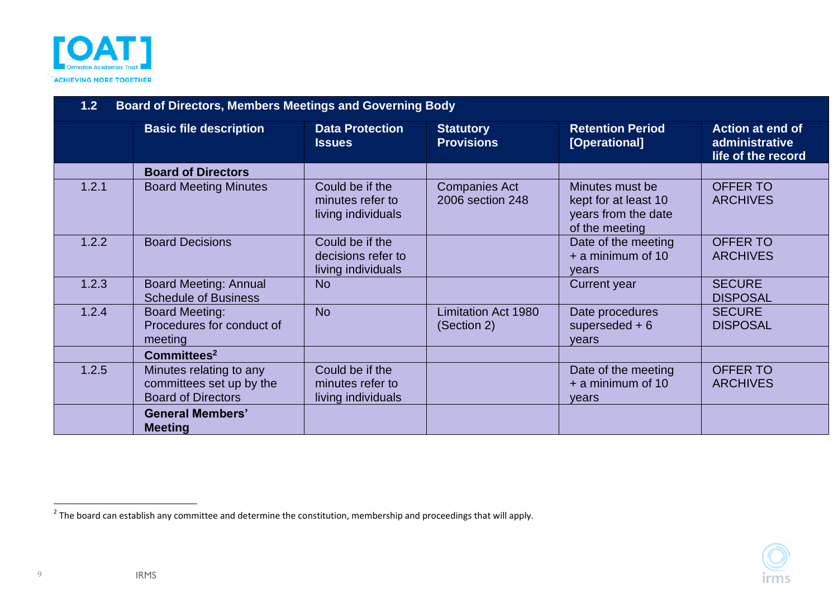

| <b>Board of Directors, Members Meetings and Governing Body</b><br>1.2 |                                                                                  |                                                             |                                           |                                                                                  |                                                                 |  |
|-----------------------------------------------------------------------|----------------------------------------------------------------------------------|-------------------------------------------------------------|-------------------------------------------|----------------------------------------------------------------------------------|-----------------------------------------------------------------|--|
|                                                                       | <b>Basic file description</b>                                                    | <b>Data Protection</b><br><b>Issues</b>                     | <b>Statutory</b><br><b>Provisions</b>     | <b>Retention Period</b><br>[Operational]                                         | <b>Action at end of</b><br>administrative<br>life of the record |  |
|                                                                       | <b>Board of Directors</b>                                                        |                                                             |                                           |                                                                                  |                                                                 |  |
| 1.2.1                                                                 | <b>Board Meeting Minutes</b>                                                     | Could be if the<br>minutes refer to<br>living individuals   | <b>Companies Act</b><br>2006 section 248  | Minutes must be<br>kept for at least 10<br>years from the date<br>of the meeting | <b>OFFER TO</b><br><b>ARCHIVES</b>                              |  |
| 1.2.2                                                                 | <b>Board Decisions</b>                                                           | Could be if the<br>decisions refer to<br>living individuals |                                           | Date of the meeting<br>$+$ a minimum of 10<br>vears                              | <b>OFFER TO</b><br><b>ARCHIVES</b>                              |  |
| 1.2.3                                                                 | <b>Board Meeting: Annual</b><br><b>Schedule of Business</b>                      | <b>No</b>                                                   |                                           | <b>Current year</b>                                                              | <b>SECURE</b><br><b>DISPOSAL</b>                                |  |
| 1.2.4                                                                 | <b>Board Meeting:</b><br>Procedures for conduct of<br>meeting                    | <b>No</b>                                                   | <b>Limitation Act 1980</b><br>(Section 2) | Date procedures<br>superseded $+6$<br>years                                      | <b>SECURE</b><br><b>DISPOSAL</b>                                |  |
|                                                                       | Committees <sup>2</sup>                                                          |                                                             |                                           |                                                                                  |                                                                 |  |
| 1.2.5                                                                 | Minutes relating to any<br>committees set up by the<br><b>Board of Directors</b> | Could be if the<br>minutes refer to<br>living individuals   |                                           | Date of the meeting<br>+ a minimum of 10<br>years                                | <b>OFFER TO</b><br><b>ARCHIVES</b>                              |  |
|                                                                       | <b>General Members'</b><br><b>Meeting</b>                                        |                                                             |                                           |                                                                                  |                                                                 |  |

<span id="page-8-3"></span><span id="page-8-2"></span><span id="page-8-1"></span><span id="page-8-0"></span> $^2$  The board can establish any committee and determine the constitution, membership and proceedings that will apply.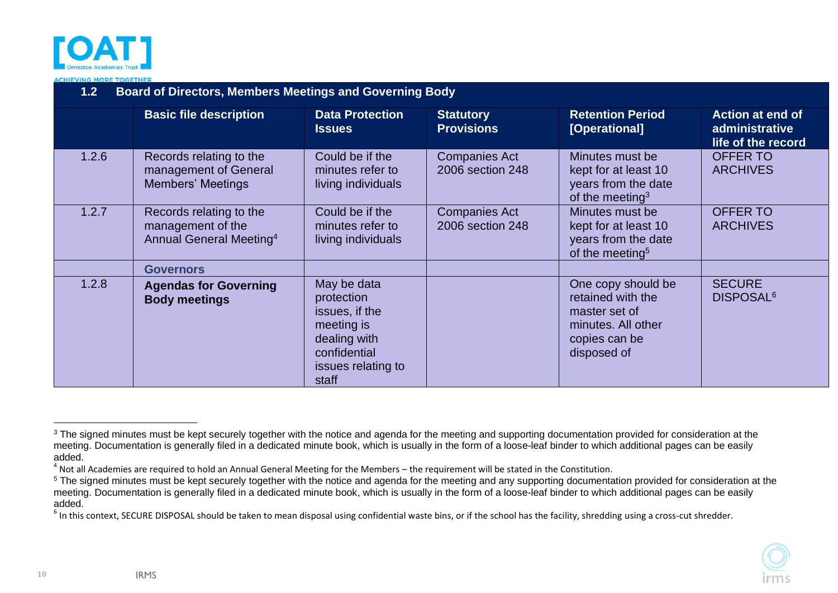

**ACHIEVING MORE TOGETHER** 

| <b>Board of Directors, Members Meetings and Governing Body</b><br>1.2 |                                                                                     |                                                                                                                          |                                          |                                                                                                                |                                                                 |  |
|-----------------------------------------------------------------------|-------------------------------------------------------------------------------------|--------------------------------------------------------------------------------------------------------------------------|------------------------------------------|----------------------------------------------------------------------------------------------------------------|-----------------------------------------------------------------|--|
|                                                                       | <b>Basic file description</b>                                                       | <b>Data Protection</b><br><b>Issues</b>                                                                                  | <b>Statutory</b><br><b>Provisions</b>    | <b>Retention Period</b><br>[Operational]                                                                       | <b>Action at end of</b><br>administrative<br>life of the record |  |
| 1.2.6                                                                 | Records relating to the<br>management of General<br><b>Members' Meetings</b>        | Could be if the<br>minutes refer to<br>living individuals                                                                | <b>Companies Act</b><br>2006 section 248 | Minutes must be<br>kept for at least 10<br>years from the date<br>of the meeting <sup>3</sup>                  | <b>OFFER TO</b><br><b>ARCHIVES</b>                              |  |
| 1.2.7                                                                 | Records relating to the<br>management of the<br>Annual General Meeting <sup>4</sup> | Could be if the<br>minutes refer to<br>living individuals                                                                | <b>Companies Act</b><br>2006 section 248 | Minutes must be<br>kept for at least 10<br>years from the date<br>of the meeting <sup>5</sup>                  | <b>OFFER TO</b><br><b>ARCHIVES</b>                              |  |
|                                                                       | <b>Governors</b>                                                                    |                                                                                                                          |                                          |                                                                                                                |                                                                 |  |
| 1.2.8                                                                 | <b>Agendas for Governing</b><br><b>Body meetings</b>                                | May be data<br>protection<br>issues, if the<br>meeting is<br>dealing with<br>confidential<br>issues relating to<br>staff |                                          | One copy should be<br>retained with the<br>master set of<br>minutes. All other<br>copies can be<br>disposed of | <b>SECURE</b><br>DISPOSAL <sup>6</sup>                          |  |

10

<sup>&</sup>lt;sup>3</sup> The signed minutes must be kept securely together with the notice and agenda for the meeting and supporting documentation provided for consideration at the meeting. Documentation is generally filed in a dedicated minute book, which is usually in the form of a loose-leaf binder to which additional pages can be easily added.

 $^4$  Not all Academies are required to hold an Annual General Meeting for the Members – the requirement will be stated in the Constitution.

<sup>&</sup>lt;sup>5</sup> The signed minutes must be kept securely together with the notice and agenda for the meeting and any supporting documentation provided for consideration at the meeting. Documentation is generally filed in a dedicated minute book, which is usually in the form of a loose-leaf binder to which additional pages can be easily added.

<span id="page-9-1"></span><span id="page-9-0"></span> $^6$  In this context, SECURE DISPOSAL should be taken to mean disposal using confidential waste bins, or if the school has the facility, shredding using a cross-cut shredder.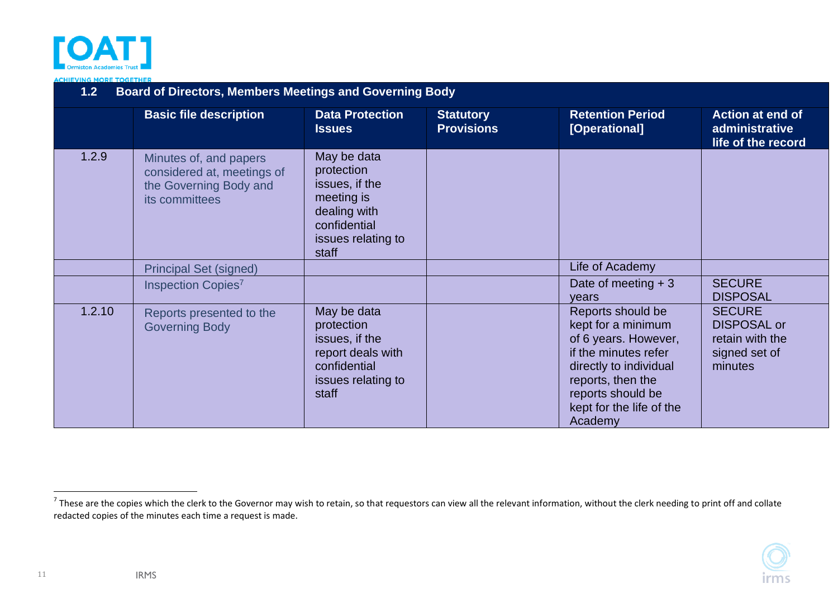

#### **ACHIEVING MORE TOGETHER**

| <b>Board of Directors, Members Meetings and Governing Body</b><br>1.2 |                                                                                                  |                                                                                                                          |                                       |                                                                                                                                                                                                    |                                                                                    |  |
|-----------------------------------------------------------------------|--------------------------------------------------------------------------------------------------|--------------------------------------------------------------------------------------------------------------------------|---------------------------------------|----------------------------------------------------------------------------------------------------------------------------------------------------------------------------------------------------|------------------------------------------------------------------------------------|--|
|                                                                       | <b>Basic file description</b>                                                                    | <b>Data Protection</b><br><b>Issues</b>                                                                                  | <b>Statutory</b><br><b>Provisions</b> | <b>Retention Period</b><br>[Operational]                                                                                                                                                           | <b>Action at end of</b><br>administrative<br>life of the record                    |  |
| 1.2.9                                                                 | Minutes of, and papers<br>considered at, meetings of<br>the Governing Body and<br>its committees | May be data<br>protection<br>issues, if the<br>meeting is<br>dealing with<br>confidential<br>issues relating to<br>staff |                                       |                                                                                                                                                                                                    |                                                                                    |  |
|                                                                       | <b>Principal Set (signed)</b>                                                                    |                                                                                                                          |                                       | Life of Academy                                                                                                                                                                                    |                                                                                    |  |
|                                                                       | Inspection Copies <sup>7</sup>                                                                   |                                                                                                                          |                                       | Date of meeting $+3$<br>years                                                                                                                                                                      | <b>SECURE</b><br><b>DISPOSAL</b>                                                   |  |
| 1.2.10                                                                | Reports presented to the<br><b>Governing Body</b>                                                | May be data<br>protection<br>issues, if the<br>report deals with<br>confidential<br>issues relating to<br>staff          |                                       | Reports should be<br>kept for a minimum<br>of 6 years. However,<br>if the minutes refer<br>directly to individual<br>reports, then the<br>reports should be<br>kept for the life of the<br>Academy | <b>SECURE</b><br><b>DISPOSAL or</b><br>retain with the<br>signed set of<br>minutes |  |

11

<span id="page-10-3"></span><span id="page-10-2"></span><span id="page-10-1"></span><span id="page-10-0"></span><sup>&</sup>lt;sup>7</sup> These are the copies which the clerk to the Governor may wish to retain, so that requestors can view all the relevant information, without the clerk needing to print off and collate redacted copies of the minutes each time a request is made.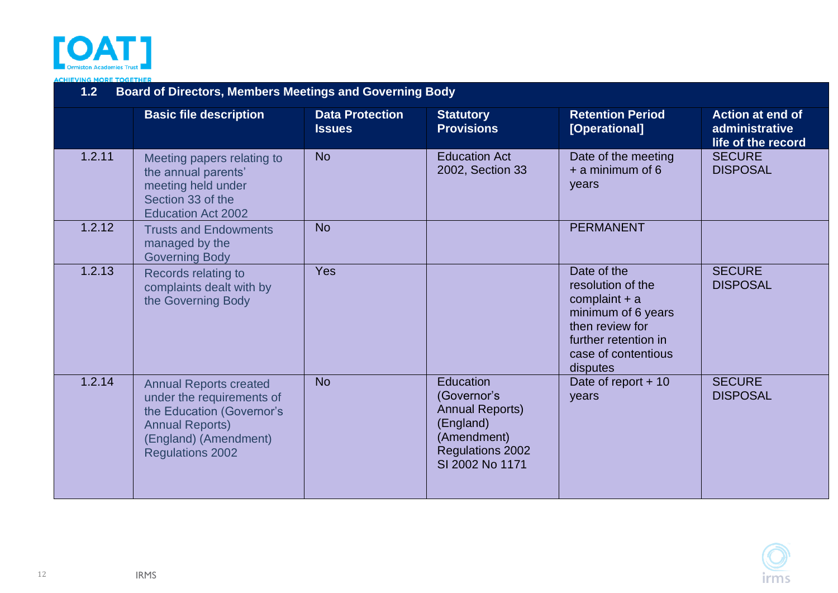

**ACHIEVING MORE TOGETHER** 

<span id="page-11-3"></span><span id="page-11-2"></span><span id="page-11-1"></span><span id="page-11-0"></span>

| <b>Board of Directors, Members Meetings and Governing Body</b><br>1.2 |                                                                                                                                                                       |                                         |                                                                                                                              |                                                                                                                                                         |                                                                 |  |
|-----------------------------------------------------------------------|-----------------------------------------------------------------------------------------------------------------------------------------------------------------------|-----------------------------------------|------------------------------------------------------------------------------------------------------------------------------|---------------------------------------------------------------------------------------------------------------------------------------------------------|-----------------------------------------------------------------|--|
|                                                                       | <b>Basic file description</b>                                                                                                                                         | <b>Data Protection</b><br><b>Issues</b> | <b>Statutory</b><br><b>Provisions</b>                                                                                        | <b>Retention Period</b><br>[Operational]                                                                                                                | <b>Action at end of</b><br>administrative<br>life of the record |  |
| 1.2.11                                                                | Meeting papers relating to<br>the annual parents'<br>meeting held under<br>Section 33 of the<br><b>Education Act 2002</b>                                             | <b>No</b>                               | <b>Education Act</b><br>2002, Section 33                                                                                     | Date of the meeting<br>$+$ a minimum of 6<br>years                                                                                                      | <b>SECURE</b><br><b>DISPOSAL</b>                                |  |
| 1.2.12                                                                | <b>Trusts and Endowments</b><br>managed by the<br><b>Governing Body</b>                                                                                               | <b>No</b>                               |                                                                                                                              | <b>PERMANENT</b>                                                                                                                                        |                                                                 |  |
| 1.2.13                                                                | Records relating to<br>complaints dealt with by<br>the Governing Body                                                                                                 | Yes                                     |                                                                                                                              | Date of the<br>resolution of the<br>complaint $+$ a<br>minimum of 6 years<br>then review for<br>further retention in<br>case of contentious<br>disputes | <b>SECURE</b><br><b>DISPOSAL</b>                                |  |
| 1.2.14                                                                | <b>Annual Reports created</b><br>under the requirements of<br>the Education (Governor's<br><b>Annual Reports)</b><br>(England) (Amendment)<br><b>Regulations 2002</b> | <b>No</b>                               | Education<br>(Governor's<br><b>Annual Reports)</b><br>(England)<br>(Amendment)<br><b>Regulations 2002</b><br>SI 2002 No 1171 | Date of report $+10$<br>years                                                                                                                           | <b>SECURE</b><br><b>DISPOSAL</b>                                |  |

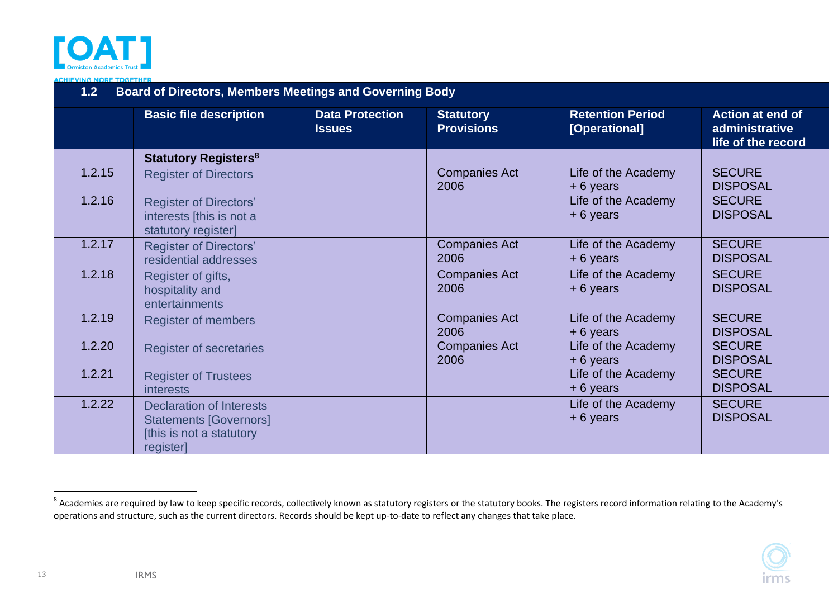

**CHIEVING MORE TOGETHER** 

| <b>Board of Directors, Members Meetings and Governing Body</b><br>1.2 |                                                                                                           |                                         |                                       |                                          |                                                                 |  |
|-----------------------------------------------------------------------|-----------------------------------------------------------------------------------------------------------|-----------------------------------------|---------------------------------------|------------------------------------------|-----------------------------------------------------------------|--|
|                                                                       | <b>Basic file description</b>                                                                             | <b>Data Protection</b><br><b>Issues</b> | <b>Statutory</b><br><b>Provisions</b> | <b>Retention Period</b><br>[Operational] | <b>Action at end of</b><br>administrative<br>life of the record |  |
|                                                                       | <b>Statutory Registers<sup>8</sup></b>                                                                    |                                         |                                       |                                          |                                                                 |  |
| 1.2.15                                                                | <b>Register of Directors</b>                                                                              |                                         | <b>Companies Act</b><br>2006          | Life of the Academy<br>$+6$ years        | <b>SECURE</b><br><b>DISPOSAL</b>                                |  |
| 1.2.16                                                                | <b>Register of Directors'</b><br>interests [this is not a<br>statutory register]                          |                                         |                                       | Life of the Academy<br>$+6$ years        | <b>SECURE</b><br><b>DISPOSAL</b>                                |  |
| 1.2.17                                                                | <b>Register of Directors'</b><br>residential addresses                                                    |                                         | <b>Companies Act</b><br>2006          | Life of the Academy<br>$+6$ years        | <b>SECURE</b><br><b>DISPOSAL</b>                                |  |
| 1.2.18                                                                | Register of gifts,<br>hospitality and<br>entertainments                                                   |                                         | <b>Companies Act</b><br>2006          | Life of the Academy<br>$+6$ years        | <b>SECURE</b><br><b>DISPOSAL</b>                                |  |
| 1.2.19                                                                | <b>Register of members</b>                                                                                |                                         | <b>Companies Act</b><br>2006          | Life of the Academy<br>$+6$ years        | <b>SECURE</b><br><b>DISPOSAL</b>                                |  |
| 1.2.20                                                                | <b>Register of secretaries</b>                                                                            |                                         | <b>Companies Act</b><br>2006          | Life of the Academy<br>$+6$ years        | <b>SECURE</b><br><b>DISPOSAL</b>                                |  |
| 1.2.21                                                                | <b>Register of Trustees</b><br><i>interests</i>                                                           |                                         |                                       | Life of the Academy<br>$+6$ years        | <b>SECURE</b><br><b>DISPOSAL</b>                                |  |
| 1.2.22                                                                | <b>Declaration of Interests</b><br><b>Statements [Governors]</b><br>[this is not a statutory<br>register] |                                         |                                       | Life of the Academy<br>$+6$ years        | <b>SECURE</b><br><b>DISPOSAL</b>                                |  |

<span id="page-12-8"></span><span id="page-12-7"></span><span id="page-12-6"></span><span id="page-12-5"></span><span id="page-12-4"></span>IRMS

13

<span id="page-12-3"></span><span id="page-12-2"></span><span id="page-12-1"></span><span id="page-12-0"></span> $^8$  Academies are required by law to keep specific records, collectively known as statutory registers or the statutory books. The registers record information relating to the Academy's operations and structure, such as the current directors. Records should be kept up-to-date to reflect any changes that take place.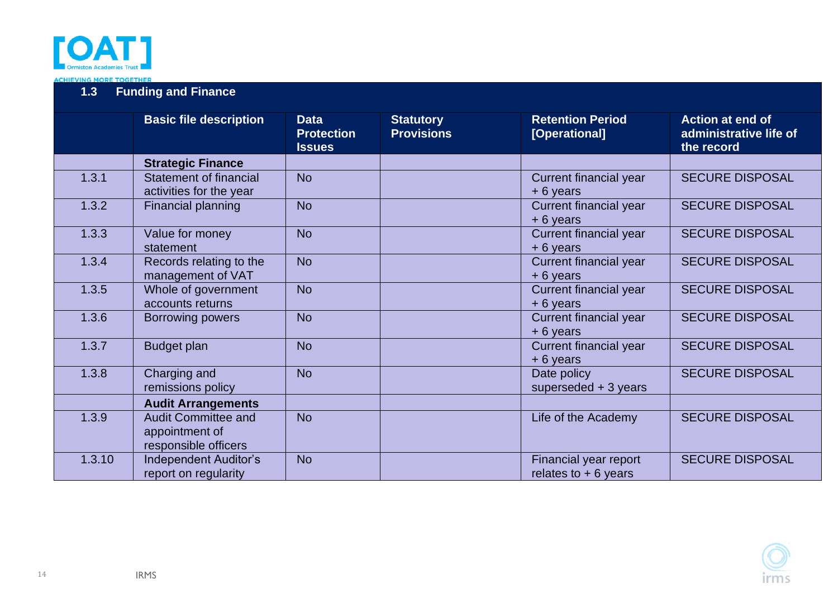

<span id="page-13-2"></span><span id="page-13-1"></span><span id="page-13-0"></span>

|        | <b>Basic file description</b>                                        | <b>Data</b><br><b>Protection</b><br><b>Issues</b> | <b>Statutory</b><br><b>Provisions</b> | <b>Retention Period</b><br>[Operational]       | <b>Action at end of</b><br>administrative life of<br>the record |
|--------|----------------------------------------------------------------------|---------------------------------------------------|---------------------------------------|------------------------------------------------|-----------------------------------------------------------------|
|        | <b>Strategic Finance</b>                                             |                                                   |                                       |                                                |                                                                 |
| 1.3.1  | <b>Statement of financial</b><br>activities for the year             | <b>No</b>                                         |                                       | <b>Current financial year</b><br>+6 years      | <b>SECURE DISPOSAL</b>                                          |
| 1.3.2  | Financial planning                                                   | <b>No</b>                                         |                                       | <b>Current financial year</b><br>+ 6 years     | <b>SECURE DISPOSAL</b>                                          |
| 1.3.3  | Value for money<br>statement                                         | <b>No</b>                                         |                                       | <b>Current financial year</b><br>+6 years      | <b>SECURE DISPOSAL</b>                                          |
| 1.3.4  | Records relating to the<br>management of VAT                         | <b>No</b>                                         |                                       | <b>Current financial year</b><br>+6 years      | <b>SECURE DISPOSAL</b>                                          |
| 1.3.5  | Whole of government<br>accounts returns                              | <b>No</b>                                         |                                       | <b>Current financial year</b><br>+6 years      | <b>SECURE DISPOSAL</b>                                          |
| 1.3.6  | <b>Borrowing powers</b>                                              | <b>No</b>                                         |                                       | <b>Current financial year</b><br>+6 years      | <b>SECURE DISPOSAL</b>                                          |
| 1.3.7  | <b>Budget plan</b>                                                   | <b>No</b>                                         |                                       | <b>Current financial year</b><br>+6 years      | <b>SECURE DISPOSAL</b>                                          |
| 1.3.8  | Charging and<br>remissions policy                                    | <b>No</b>                                         |                                       | Date policy<br>superseded $+3$ years           | <b>SECURE DISPOSAL</b>                                          |
|        | <b>Audit Arrangements</b>                                            |                                                   |                                       |                                                |                                                                 |
| 1.3.9  | <b>Audit Committee and</b><br>appointment of<br>responsible officers | <b>No</b>                                         |                                       | Life of the Academy                            | <b>SECURE DISPOSAL</b>                                          |
| 1.3.10 | <b>Independent Auditor's</b><br>report on regularity                 | <b>No</b>                                         |                                       | Financial year report<br>relates to $+6$ years | <b>SECURE DISPOSAL</b>                                          |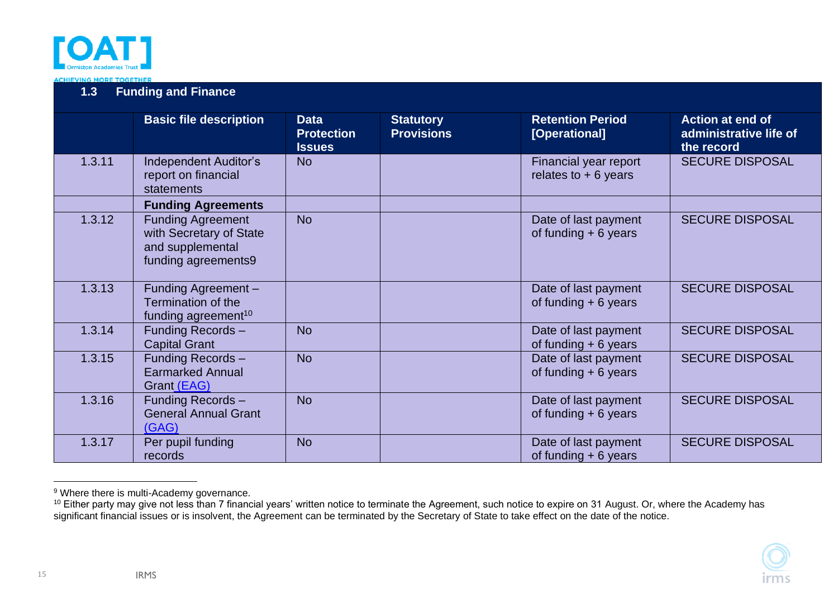

|        | <b>Basic file description</b>                                                                  | <b>Data</b><br><b>Protection</b><br><b>Issues</b> | <b>Statutory</b><br><b>Provisions</b> | <b>Retention Period</b><br>[Operational]       | <b>Action at end of</b><br>administrative life of<br>the record |
|--------|------------------------------------------------------------------------------------------------|---------------------------------------------------|---------------------------------------|------------------------------------------------|-----------------------------------------------------------------|
| 1.3.11 | <b>Independent Auditor's</b><br>report on financial<br>statements                              | <b>No</b>                                         |                                       | Financial year report<br>relates to $+6$ years | <b>SECURE DISPOSAL</b>                                          |
|        | <b>Funding Agreements</b>                                                                      |                                                   |                                       |                                                |                                                                 |
| 1.3.12 | <b>Funding Agreement</b><br>with Secretary of State<br>and supplemental<br>funding agreements9 | <b>No</b>                                         |                                       | Date of last payment<br>of funding $+6$ years  | <b>SECURE DISPOSAL</b>                                          |
| 1.3.13 | Funding Agreement-<br>Termination of the<br>funding agreement <sup>10</sup>                    |                                                   |                                       | Date of last payment<br>of funding $+6$ years  | <b>SECURE DISPOSAL</b>                                          |
| 1.3.14 | Funding Records -<br><b>Capital Grant</b>                                                      | <b>No</b>                                         |                                       | Date of last payment<br>of funding $+6$ years  | <b>SECURE DISPOSAL</b>                                          |
| 1.3.15 | Funding Records -<br><b>Earmarked Annual</b><br>Grant (EAG)                                    | <b>No</b>                                         |                                       | Date of last payment<br>of funding $+6$ years  | <b>SECURE DISPOSAL</b>                                          |
| 1.3.16 | Funding Records-<br><b>General Annual Grant</b><br>(GAG)                                       | <b>No</b>                                         |                                       | Date of last payment<br>of funding $+6$ years  | <b>SECURE DISPOSAL</b>                                          |
| 1.3.17 | Per pupil funding<br>records                                                                   | <b>No</b>                                         |                                       | Date of last payment<br>of funding $+6$ years  | <b>SECURE DISPOSAL</b>                                          |

<span id="page-14-0"></span><sup>&</sup>lt;sup>9</sup> Where there is multi-Academy governance.

IRMS

15

 $^{10}$  Either party may give not less than 7 financial years' written notice to terminate the Agreement, such notice to expire on 31 August. Or, where the Academy has significant financial issues or is insolvent, the Agreement can be terminated by the Secretary of State to take effect on the date of the notice.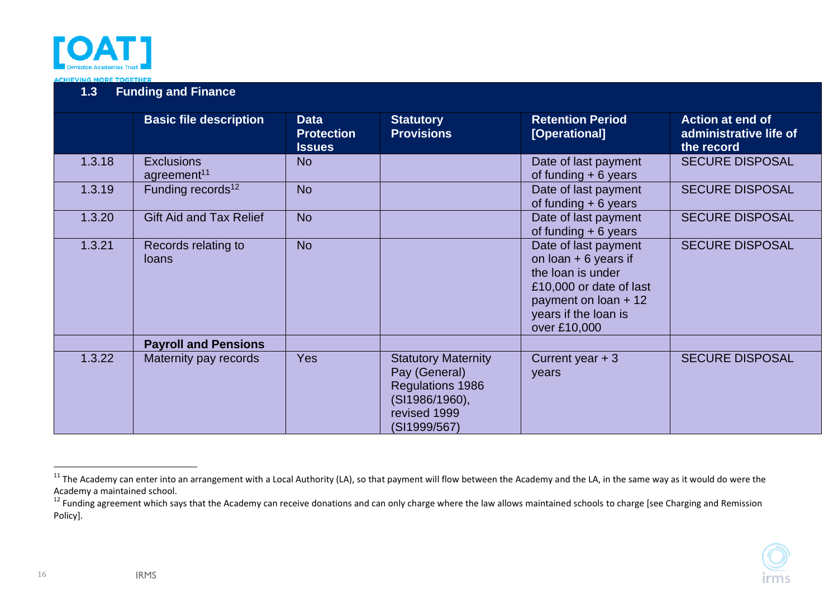

|        | <b>Basic file description</b>                | <b>Data</b><br><b>Protection</b><br><b>Issues</b> | <b>Statutory</b><br><b>Provisions</b>                                                                                    | <b>Retention Period</b><br>[Operational]                                                                                                                         | <b>Action at end of</b><br>administrative life of<br>the record |
|--------|----------------------------------------------|---------------------------------------------------|--------------------------------------------------------------------------------------------------------------------------|------------------------------------------------------------------------------------------------------------------------------------------------------------------|-----------------------------------------------------------------|
| 1.3.18 | <b>Exclusions</b><br>agreement <sup>11</sup> | <b>No</b>                                         |                                                                                                                          | Date of last payment<br>of funding $+6$ years                                                                                                                    | <b>SECURE DISPOSAL</b>                                          |
| 1.3.19 | Funding records <sup>12</sup>                | <b>No</b>                                         |                                                                                                                          | Date of last payment<br>of funding $+6$ years                                                                                                                    | <b>SECURE DISPOSAL</b>                                          |
| 1.3.20 | Gift Aid and Tax Relief                      | <b>No</b>                                         |                                                                                                                          | Date of last payment<br>of funding $+6$ years                                                                                                                    | <b>SECURE DISPOSAL</b>                                          |
| 1.3.21 | Records relating to<br><b>loans</b>          | <b>No</b>                                         |                                                                                                                          | Date of last payment<br>on $\alpha$ + 6 years if<br>the loan is under<br>£10,000 or date of last<br>payment on loan + 12<br>years if the loan is<br>over £10,000 | <b>SECURE DISPOSAL</b>                                          |
|        | <b>Payroll and Pensions</b>                  |                                                   |                                                                                                                          |                                                                                                                                                                  |                                                                 |
| 1.3.22 | Maternity pay records                        | <b>Yes</b>                                        | <b>Statutory Maternity</b><br>Pay (General)<br><b>Regulations 1986</b><br>(SI1986/1960),<br>revised 1999<br>(SI1999/567) | Current year + 3<br>years                                                                                                                                        | <b>SECURE DISPOSAL</b>                                          |

<span id="page-15-0"></span>16

 $11$  The Academy can enter into an arrangement with a Local Authority (LA), so that payment will flow between the Academy and the LA, in the same way as it would do were the Academy a maintained school.

<sup>&</sup>lt;sup>12</sup> Funding agreement which says that the Academy can receive donations and can only charge where the law allows maintained schools to charge [see Charging and Remission] Policy].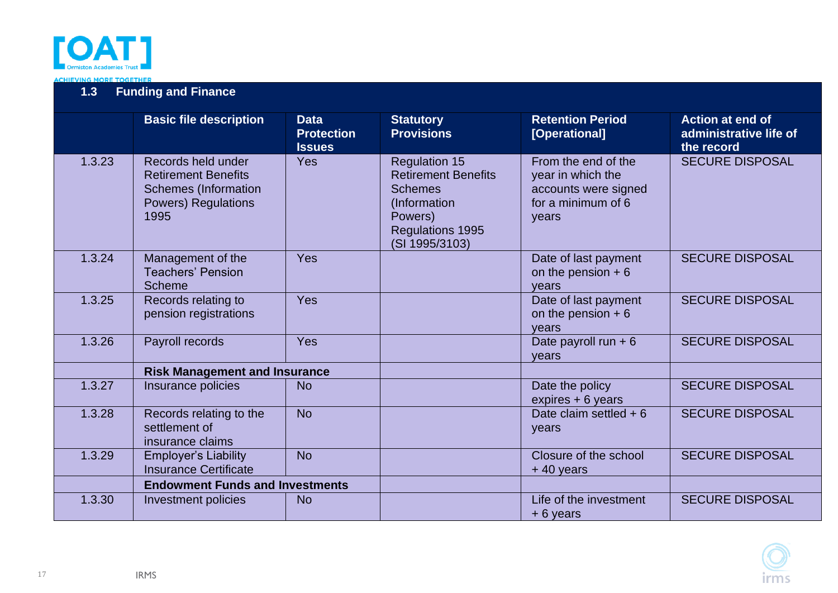

<span id="page-16-1"></span><span id="page-16-0"></span>

|        | <b>Basic file description</b>                                                                                         | <b>Data</b><br><b>Protection</b><br><b>Issues</b> | <b>Statutory</b><br><b>Provisions</b>                                                                                                 | <b>Retention Period</b><br>[Operational]                                                        | <b>Action at end of</b><br>administrative life of<br>the record |
|--------|-----------------------------------------------------------------------------------------------------------------------|---------------------------------------------------|---------------------------------------------------------------------------------------------------------------------------------------|-------------------------------------------------------------------------------------------------|-----------------------------------------------------------------|
| 1.3.23 | Records held under<br><b>Retirement Benefits</b><br><b>Schemes (Information</b><br><b>Powers) Regulations</b><br>1995 | Yes                                               | <b>Regulation 15</b><br><b>Retirement Benefits</b><br><b>Schemes</b><br>(Information<br>Powers)<br>Regulations 1995<br>(SI 1995/3103) | From the end of the<br>year in which the<br>accounts were signed<br>for a minimum of 6<br>years | <b>SECURE DISPOSAL</b>                                          |
| 1.3.24 | Management of the<br><b>Teachers' Pension</b><br><b>Scheme</b>                                                        | Yes                                               |                                                                                                                                       | Date of last payment<br>on the pension $+6$<br>vears                                            | <b>SECURE DISPOSAL</b>                                          |
| 1.3.25 | Records relating to<br>pension registrations                                                                          | Yes                                               |                                                                                                                                       | Date of last payment<br>on the pension $+6$<br>vears                                            | <b>SECURE DISPOSAL</b>                                          |
| 1.3.26 | Payroll records                                                                                                       | Yes                                               |                                                                                                                                       | Date payroll run $+6$<br>years                                                                  | <b>SECURE DISPOSAL</b>                                          |
|        | <b>Risk Management and Insurance</b>                                                                                  |                                                   |                                                                                                                                       |                                                                                                 |                                                                 |
| 1.3.27 | Insurance policies                                                                                                    | <b>No</b>                                         |                                                                                                                                       | Date the policy<br>expires + 6 years                                                            | <b>SECURE DISPOSAL</b>                                          |
| 1.3.28 | Records relating to the<br>settlement of<br>insurance claims                                                          | <b>No</b>                                         |                                                                                                                                       | Date claim settled $+6$<br>years                                                                | <b>SECURE DISPOSAL</b>                                          |
| 1.3.29 | <b>Employer's Liability</b><br><b>Insurance Certificate</b>                                                           | <b>No</b>                                         |                                                                                                                                       | Closure of the school<br>$+40$ years                                                            | <b>SECURE DISPOSAL</b>                                          |
|        | <b>Endowment Funds and Investments</b>                                                                                |                                                   |                                                                                                                                       |                                                                                                 |                                                                 |
| 1.3.30 | Investment policies                                                                                                   | <b>No</b>                                         |                                                                                                                                       | Life of the investment<br>$+6$ years                                                            | <b>SECURE DISPOSAL</b>                                          |

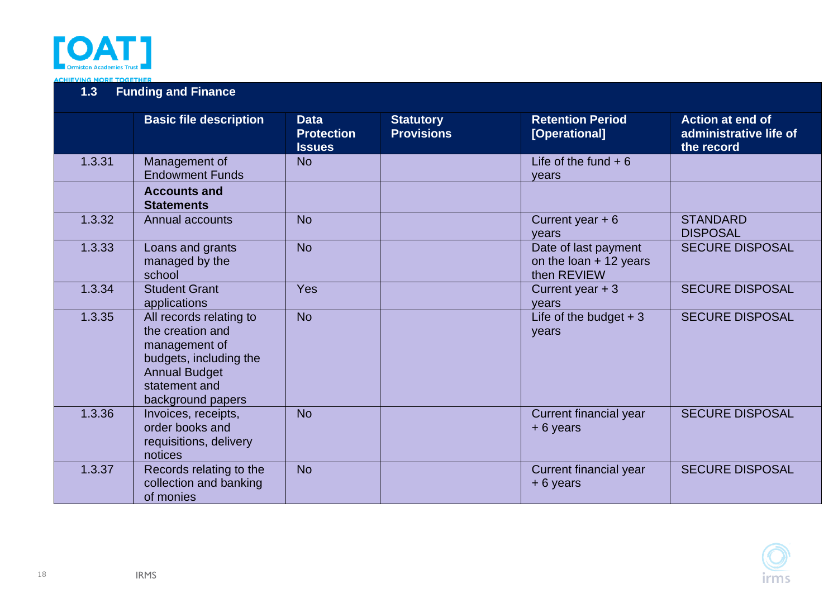

<span id="page-17-0"></span>

|        | <b>Basic file description</b>                                                                                                                        | <b>Data</b><br><b>Protection</b><br><b>Issues</b> | <b>Statutory</b><br><b>Provisions</b> | <b>Retention Period</b><br>[Operational]                        | Action at end of<br>administrative life of<br>the record |
|--------|------------------------------------------------------------------------------------------------------------------------------------------------------|---------------------------------------------------|---------------------------------------|-----------------------------------------------------------------|----------------------------------------------------------|
| 1.3.31 | Management of<br><b>Endowment Funds</b>                                                                                                              | <b>No</b>                                         |                                       | Life of the fund $+6$<br>vears                                  |                                                          |
|        | <b>Accounts and</b><br><b>Statements</b>                                                                                                             |                                                   |                                       |                                                                 |                                                          |
| 1.3.32 | Annual accounts                                                                                                                                      | <b>No</b>                                         |                                       | Current year $+6$<br>vears                                      | <b>STANDARD</b><br><b>DISPOSAL</b>                       |
| 1.3.33 | Loans and grants<br>managed by the<br>school                                                                                                         | <b>No</b>                                         |                                       | Date of last payment<br>on the loan $+$ 12 years<br>then REVIEW | <b>SECURE DISPOSAL</b>                                   |
| 1.3.34 | <b>Student Grant</b><br>applications                                                                                                                 | Yes                                               |                                       | Current year $+3$<br>years                                      | <b>SECURE DISPOSAL</b>                                   |
| 1.3.35 | All records relating to<br>the creation and<br>management of<br>budgets, including the<br><b>Annual Budget</b><br>statement and<br>background papers | <b>No</b>                                         |                                       | Life of the budget $+3$<br>years                                | <b>SECURE DISPOSAL</b>                                   |
| 1.3.36 | Invoices, receipts,<br>order books and<br>requisitions, delivery<br>notices                                                                          | <b>No</b>                                         |                                       | Current financial year<br>$+6$ years                            | <b>SECURE DISPOSAL</b>                                   |
| 1.3.37 | Records relating to the<br>collection and banking<br>of monies                                                                                       | <b>No</b>                                         |                                       | Current financial year<br>$+6$ years                            | <b>SECURE DISPOSAL</b>                                   |

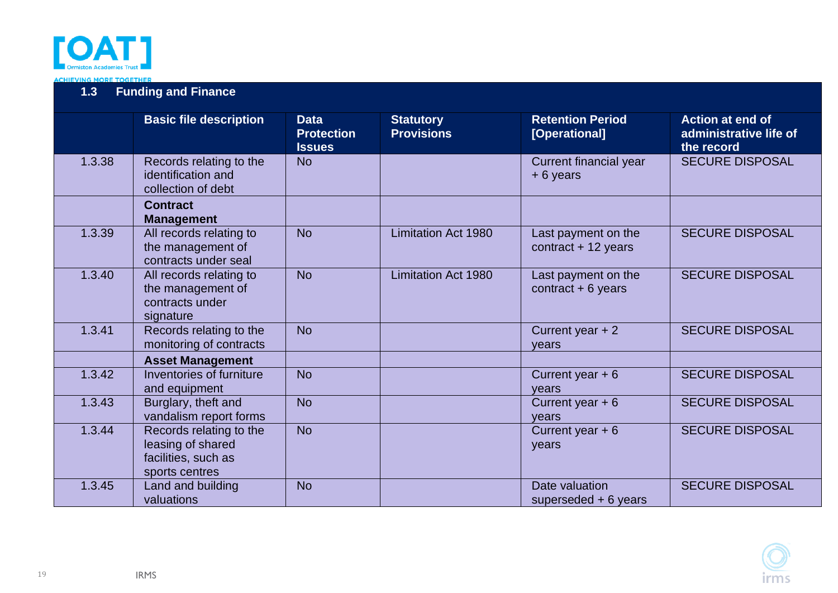

<span id="page-18-1"></span><span id="page-18-0"></span>

|        | <b>Basic file description</b>                                                         | <b>Data</b><br><b>Protection</b><br><b>Issues</b> | <b>Statutory</b><br><b>Provisions</b> | <b>Retention Period</b><br>[Operational]     | <b>Action at end of</b><br>administrative life of<br>the record |
|--------|---------------------------------------------------------------------------------------|---------------------------------------------------|---------------------------------------|----------------------------------------------|-----------------------------------------------------------------|
| 1.3.38 | Records relating to the<br>identification and<br>collection of debt                   | <b>No</b>                                         |                                       | Current financial year<br>$+6$ years         | <b>SECURE DISPOSAL</b>                                          |
|        | <b>Contract</b><br><b>Management</b>                                                  |                                                   |                                       |                                              |                                                                 |
| 1.3.39 | All records relating to<br>the management of<br>contracts under seal                  | <b>No</b>                                         | <b>Limitation Act 1980</b>            | Last payment on the<br>$contract + 12 years$ | <b>SECURE DISPOSAL</b>                                          |
| 1.3.40 | All records relating to<br>the management of<br>contracts under<br>signature          | <b>No</b>                                         | <b>Limitation Act 1980</b>            | Last payment on the<br>contract $+ 6$ years  | <b>SECURE DISPOSAL</b>                                          |
| 1.3.41 | Records relating to the<br>monitoring of contracts                                    | <b>No</b>                                         |                                       | Current year $+2$<br>vears                   | <b>SECURE DISPOSAL</b>                                          |
|        | <b>Asset Management</b>                                                               |                                                   |                                       |                                              |                                                                 |
| 1.3.42 | Inventories of furniture<br>and equipment                                             | <b>No</b>                                         |                                       | Current year $+6$<br>years                   | <b>SECURE DISPOSAL</b>                                          |
| 1.3.43 | Burglary, theft and<br>vandalism report forms                                         | <b>No</b>                                         |                                       | Current year $+6$<br>years                   | <b>SECURE DISPOSAL</b>                                          |
| 1.3.44 | Records relating to the<br>leasing of shared<br>facilities, such as<br>sports centres | <b>No</b>                                         |                                       | Current year $+6$<br>years                   | <b>SECURE DISPOSAL</b>                                          |
| 1.3.45 | Land and building<br>valuations                                                       | <b>No</b>                                         |                                       | Date valuation<br>superseded $+6$ years      | <b>SECURE DISPOSAL</b>                                          |

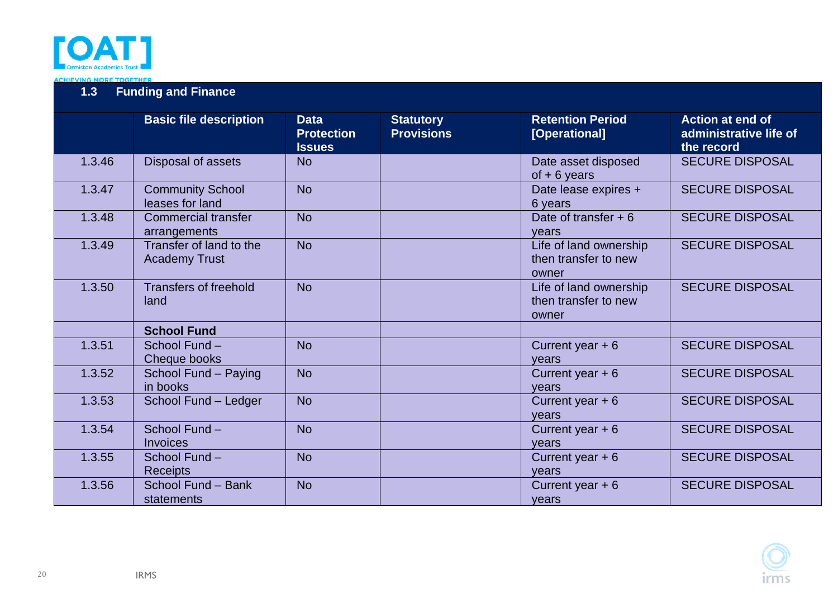

<span id="page-19-0"></span>

|        | <b>Basic file description</b>                   | <b>Data</b><br><b>Protection</b><br><b>Issues</b> | <b>Statutory</b><br><b>Provisions</b> | <b>Retention Period</b><br>[Operational]                | <b>Action at end of</b><br>administrative life of<br>the record |
|--------|-------------------------------------------------|---------------------------------------------------|---------------------------------------|---------------------------------------------------------|-----------------------------------------------------------------|
| 1.3.46 | Disposal of assets                              | <b>No</b>                                         |                                       | Date asset disposed<br>$of + 6 \text{ years}$           | <b>SECURE DISPOSAL</b>                                          |
| 1.3.47 | <b>Community School</b><br>leases for land      | <b>No</b>                                         |                                       | Date lease expires +<br>6 years                         | <b>SECURE DISPOSAL</b>                                          |
| 1.3.48 | <b>Commercial transfer</b><br>arrangements      | <b>No</b>                                         |                                       | Date of transfer $+6$<br>vears                          | <b>SECURE DISPOSAL</b>                                          |
| 1.3.49 | Transfer of land to the<br><b>Academy Trust</b> | <b>No</b>                                         |                                       | Life of land ownership<br>then transfer to new<br>owner | <b>SECURE DISPOSAL</b>                                          |
| 1.3.50 | <b>Transfers of freehold</b><br>land            | <b>No</b>                                         |                                       | Life of land ownership<br>then transfer to new<br>owner | <b>SECURE DISPOSAL</b>                                          |
|        | <b>School Fund</b>                              |                                                   |                                       |                                                         |                                                                 |
| 1.3.51 | School Fund -<br>Cheque books                   | <b>No</b>                                         |                                       | Current year $+6$<br>years                              | <b>SECURE DISPOSAL</b>                                          |
| 1.3.52 | School Fund - Paying<br>in books                | <b>No</b>                                         |                                       | Current year $+6$<br>vears                              | <b>SECURE DISPOSAL</b>                                          |
| 1.3.53 | School Fund - Ledger                            | <b>No</b>                                         |                                       | Current year $+6$<br>vears                              | <b>SECURE DISPOSAL</b>                                          |
| 1.3.54 | School Fund -<br><b>Invoices</b>                | <b>No</b>                                         |                                       | Current year $+6$<br>years                              | <b>SECURE DISPOSAL</b>                                          |
| 1.3.55 | School Fund -<br><b>Receipts</b>                | <b>No</b>                                         |                                       | Current year $+6$<br>years                              | <b>SECURE DISPOSAL</b>                                          |
| 1.3.56 | School Fund - Bank<br>statements                | <b>No</b>                                         |                                       | Current year $+6$<br>years                              | <b>SECURE DISPOSAL</b>                                          |

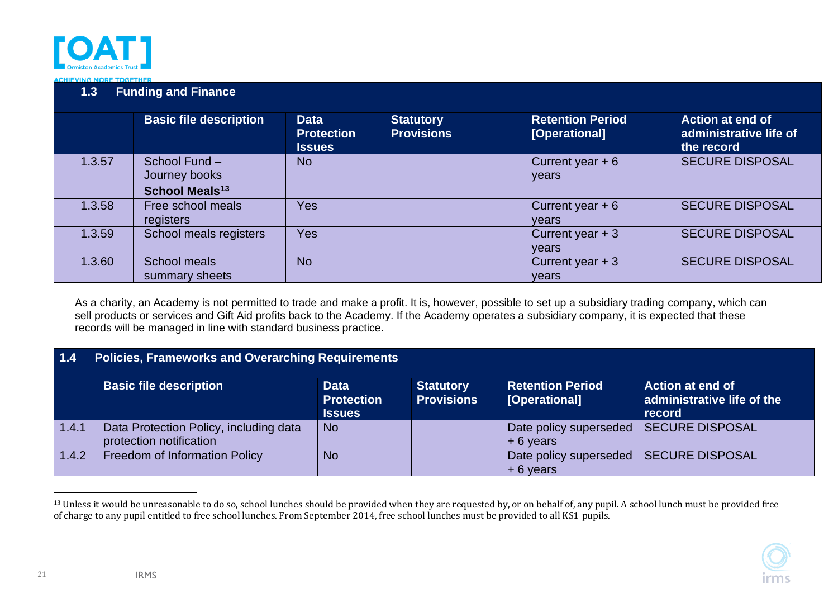

|        | <b>Basic file description</b>  | <b>Data</b><br><b>Protection</b><br><b>Issues</b> | <b>Statutory</b><br><b>Provisions</b> | <b>Retention Period</b><br>[Operational] | <b>Action at end of</b><br>administrative life of<br>the record |
|--------|--------------------------------|---------------------------------------------------|---------------------------------------|------------------------------------------|-----------------------------------------------------------------|
| 1.3.57 | School Fund -<br>Journey books | <b>No</b>                                         |                                       | Current year $+6$<br>years               | <b>SECURE DISPOSAL</b>                                          |
|        | School Meals <sup>13</sup>     |                                                   |                                       |                                          |                                                                 |
| 1.3.58 | Free school meals<br>registers | <b>Yes</b>                                        |                                       | Current year $+6$<br>vears               | <b>SECURE DISPOSAL</b>                                          |
| 1.3.59 | School meals registers         | <b>Yes</b>                                        |                                       | Current year $+3$<br>years               | <b>SECURE DISPOSAL</b>                                          |
| 1.3.60 | School meals<br>summary sheets | <b>No</b>                                         |                                       | Current year $+3$<br>years               | <b>SECURE DISPOSAL</b>                                          |

As a charity, an Academy is not permitted to trade and make a profit. It is, however, possible to set up a subsidiary trading company, which can sell products or services and Gift Aid profits back to the Academy. If the Academy operates a subsidiary company, it is expected that these records will be managed in line with standard business practice.

| $\blacksquare$ 1.4 | <b>Policies, Frameworks and Overarching Requirements</b>          |                                          |                                                                 |                                      |                        |  |  |  |
|--------------------|-------------------------------------------------------------------|------------------------------------------|-----------------------------------------------------------------|--------------------------------------|------------------------|--|--|--|
|                    | <b>Basic file description</b>                                     | <b>Retention Period</b><br>[Operational] | <b>Action at end of</b><br>administrative life of the<br>record |                                      |                        |  |  |  |
| 1.4.1              | Data Protection Policy, including data<br>protection notification | <b>No</b>                                |                                                                 | Date policy superseded<br>$+6$ years | <b>SECURE DISPOSAL</b> |  |  |  |
| 1.4.2              | Freedom of Information Policy                                     | <b>No</b>                                |                                                                 | Date policy superseded<br>$+6$ years | <b>SECURE DISPOSAL</b> |  |  |  |

<span id="page-20-1"></span><span id="page-20-0"></span><sup>&</sup>lt;sup>13</sup> Unless it would be unreasonable to do so, school lunches should be provided when they are requested by, or on behalf of, any pupil. A school lunch must be provided free of charge to any pupil entitled to free school lunches. From September 2014, free school lunches must be provided to all KS1 pupils.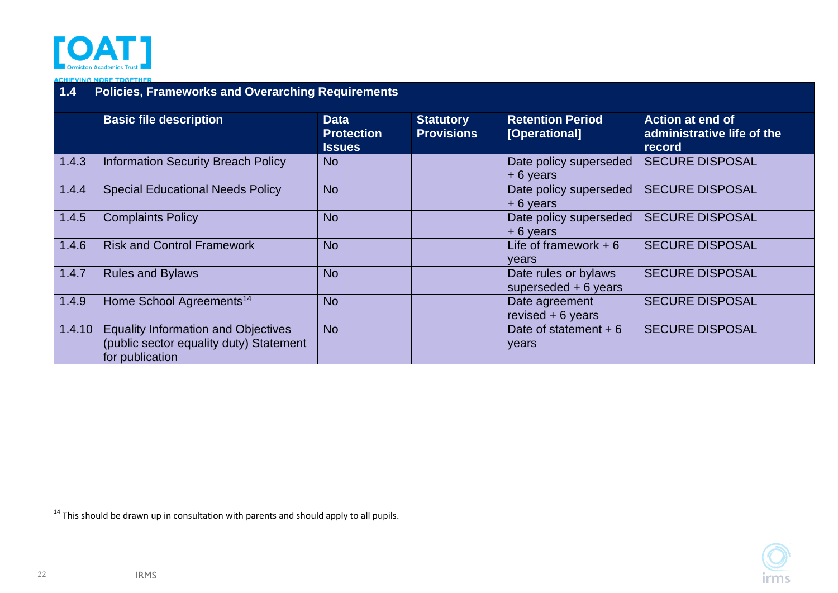

### **1.4 Policies, Frameworks and Overarching Requirements**

|        | <b>Basic file description</b>                                                                            | <b>Data</b><br><b>Protection</b><br><b>Issues</b> | <b>Statutory</b><br><b>Provisions</b> | <b>Retention Period</b><br>[Operational]      | <b>Action at end of</b><br>administrative life of the<br>record |
|--------|----------------------------------------------------------------------------------------------------------|---------------------------------------------------|---------------------------------------|-----------------------------------------------|-----------------------------------------------------------------|
| 1.4.3  | <b>Information Security Breach Policy</b>                                                                | N <sub>o</sub>                                    |                                       | Date policy superseded<br>$+6$ years          | <b>SECURE DISPOSAL</b>                                          |
| 1.4.4  | <b>Special Educational Needs Policy</b>                                                                  | <b>No</b>                                         |                                       | Date policy superseded<br>$+6$ years          | <b>SECURE DISPOSAL</b>                                          |
| 1.4.5  | <b>Complaints Policy</b>                                                                                 | <b>No</b>                                         |                                       | Date policy superseded<br>$+6$ years          | <b>SECURE DISPOSAL</b>                                          |
| 1.4.6  | <b>Risk and Control Framework</b>                                                                        | <b>No</b>                                         |                                       | Life of framework $+6$<br>vears               | <b>SECURE DISPOSAL</b>                                          |
| 1.4.7  | <b>Rules and Bylaws</b>                                                                                  | <b>No</b>                                         |                                       | Date rules or bylaws<br>superseded $+6$ years | <b>SECURE DISPOSAL</b>                                          |
| 1.4.9  | Home School Agreements <sup>14</sup>                                                                     | <b>No</b>                                         |                                       | Date agreement<br>revised $+6$ years          | <b>SECURE DISPOSAL</b>                                          |
| 1.4.10 | <b>Equality Information and Objectives</b><br>(public sector equality duty) Statement<br>for publication | <b>No</b>                                         |                                       | Date of statement $+6$<br>years               | <b>SECURE DISPOSAL</b>                                          |

 $14$  This should be drawn up in consultation with parents and should apply to all pupils.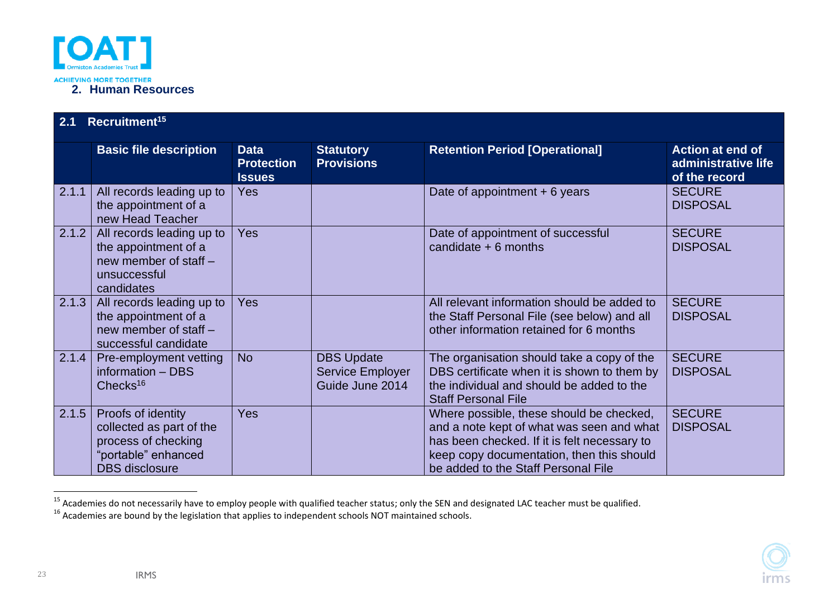

| 2.1   | Recruitment <sup>15</sup>                                                                                             |                                                   |                                                          |                                                                                                                                                                                                                           |                                                                 |  |  |  |
|-------|-----------------------------------------------------------------------------------------------------------------------|---------------------------------------------------|----------------------------------------------------------|---------------------------------------------------------------------------------------------------------------------------------------------------------------------------------------------------------------------------|-----------------------------------------------------------------|--|--|--|
|       | <b>Basic file description</b>                                                                                         | <b>Data</b><br><b>Protection</b><br><b>Issues</b> | <b>Statutory</b><br><b>Provisions</b>                    | <b>Retention Period [Operational]</b>                                                                                                                                                                                     | <b>Action at end of</b><br>administrative life<br>of the record |  |  |  |
| 2.1.1 | All records leading up to<br>the appointment of a<br>new Head Teacher                                                 | <b>Yes</b>                                        |                                                          | Date of appointment $+6$ years                                                                                                                                                                                            | <b>SECURE</b><br><b>DISPOSAL</b>                                |  |  |  |
| 2.1.2 | All records leading up to<br>the appointment of a<br>new member of staff -<br>unsuccessful<br>candidates              | <b>Yes</b>                                        |                                                          | Date of appointment of successful<br>candidate $+ 6$ months                                                                                                                                                               | <b>SECURE</b><br><b>DISPOSAL</b>                                |  |  |  |
| 2.1.3 | All records leading up to<br>the appointment of a<br>new member of staff -<br>successful candidate                    | <b>Yes</b>                                        |                                                          | All relevant information should be added to<br>the Staff Personal File (see below) and all<br>other information retained for 6 months                                                                                     | <b>SECURE</b><br><b>DISPOSAL</b>                                |  |  |  |
| 2.1.4 | Pre-employment vetting<br>information - DBS<br>Checks <sup>16</sup>                                                   | <b>No</b>                                         | <b>DBS Update</b><br>Service Employer<br>Guide June 2014 | The organisation should take a copy of the<br>DBS certificate when it is shown to them by<br>the individual and should be added to the<br><b>Staff Personal File</b>                                                      | <b>SECURE</b><br><b>DISPOSAL</b>                                |  |  |  |
| 2.1.5 | Proofs of identity<br>collected as part of the<br>process of checking<br>"portable" enhanced<br><b>DBS</b> disclosure | <b>Yes</b>                                        |                                                          | Where possible, these should be checked,<br>and a note kept of what was seen and what<br>has been checked. If it is felt necessary to<br>keep copy documentation, then this should<br>be added to the Staff Personal File | <b>SECURE</b><br><b>DISPOSAL</b>                                |  |  |  |

<span id="page-22-1"></span><span id="page-22-0"></span><sup>15</sup> Academies do not necessarily have to employ people with qualified teacher status; only the SEN and designated LAC teacher must be qualified.

 $^{16}$  Academies are bound by the legislation that applies to independent schools NOT maintained schools.

23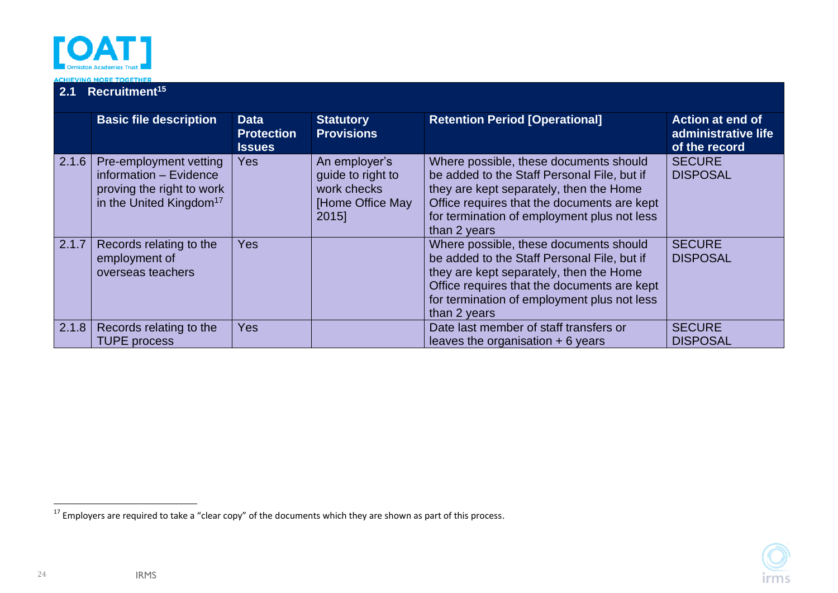

#### **2.1 Recruitment<sup>15</sup> Basic file description Data Protection Issues Statutory Provisions Retention Period [Operational] Action at end of administrative life of the record** 2.1.6 | Pre-employment vetting information – Evidence proving the right to work in the United Kingdom<sup>17</sup>  $Yes$   $|$  An employer's guide to right to work checks [Home Office May 2015] Where possible, these documents should be added to the Staff Personal File, but if they are kept separately, then the Home Office requires that the documents are kept for termination of employment plus not less than 2 years **SECURE** DISPOSAL 2.1.7 Records relating to the employment of overseas teachers Yes and the U.S. Contract of the Where possible, these documents should be added to the Staff Personal File, but if they are kept separately, then the Home Office requires that the documents are kept for termination of employment plus not less than 2 years **SECURE** DISPOSAL 2.1.8 Records relating to the TUPE process Yes **Date last member of staff transfers or** leaves the organisation  $+ 6$  years **SECURE** DISPOSAL

24

<sup>&</sup>lt;sup>17</sup> Employers are required to take a "clear copy" of the documents which they are shown as part of this process.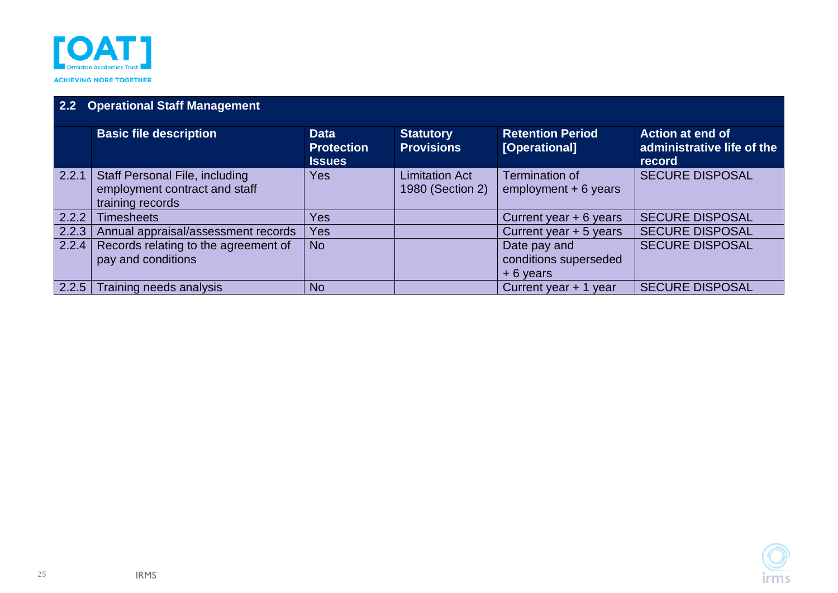

### **2.2 Operational Staff Management**

<span id="page-24-0"></span>

|                    | <b>Basic file description</b>         | <b>Data</b><br><b>Protection</b> | <b>Statutory</b><br><b>Provisions</b> | <b>Retention Period</b><br>[Operational] | <b>Action at end of</b><br>administrative life of the |
|--------------------|---------------------------------------|----------------------------------|---------------------------------------|------------------------------------------|-------------------------------------------------------|
|                    |                                       | <b>Issues</b>                    |                                       |                                          | record                                                |
| 2.2.1              | <b>Staff Personal File, including</b> | Yes                              | <b>Limitation Act</b>                 | <b>Termination of</b>                    | <b>SECURE DISPOSAL</b>                                |
|                    | employment contract and staff         |                                  | 1980 (Section 2)                      | $employment + 6 years$                   |                                                       |
|                    | training records                      |                                  |                                       |                                          |                                                       |
| $\overline{2.2.2}$ | <b>Timesheets</b>                     | Yes                              |                                       | Current year $+ 6$ years                 | <b>SECURE DISPOSAL</b>                                |
| 2.2.3              | Annual appraisal/assessment records   | Yes                              |                                       | Current year + 5 years                   | <b>SECURE DISPOSAL</b>                                |
| 2.2.4              | Records relating to the agreement of  | <b>No</b>                        |                                       | Date pay and                             | <b>SECURE DISPOSAL</b>                                |
|                    | pay and conditions                    |                                  |                                       | conditions superseded                    |                                                       |
|                    |                                       |                                  |                                       | $+6$ years                               |                                                       |
| $2.2.5$            | Training needs analysis               | <b>No</b>                        |                                       | Current year + 1 year                    | <b>SECURE DISPOSAL</b>                                |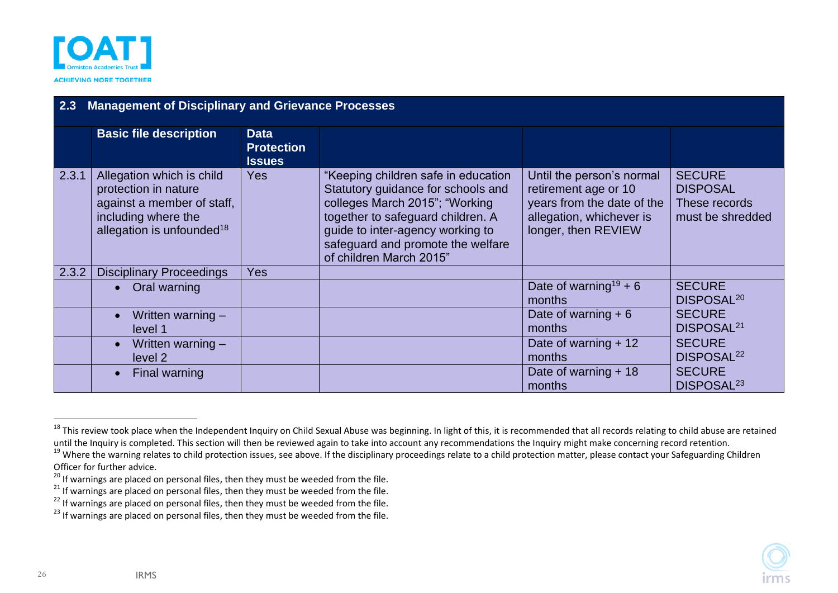

| 2.3   | <b>Management of Disciplinary and Grievance Processes</b>                                                                                       |                                                   |                                                                                                                                                                                                                                                      |                                                                                                                                    |                                                                       |  |  |  |  |
|-------|-------------------------------------------------------------------------------------------------------------------------------------------------|---------------------------------------------------|------------------------------------------------------------------------------------------------------------------------------------------------------------------------------------------------------------------------------------------------------|------------------------------------------------------------------------------------------------------------------------------------|-----------------------------------------------------------------------|--|--|--|--|
|       | <b>Basic file description</b>                                                                                                                   | <b>Data</b><br><b>Protection</b><br><b>Issues</b> |                                                                                                                                                                                                                                                      |                                                                                                                                    |                                                                       |  |  |  |  |
| 2.3.1 | Allegation which is child<br>protection in nature<br>against a member of staff,<br>including where the<br>allegation is unfounded <sup>18</sup> | <b>Yes</b>                                        | "Keeping children safe in education<br>Statutory guidance for schools and<br>colleges March 2015"; "Working<br>together to safeguard children. A<br>guide to inter-agency working to<br>safeguard and promote the welfare<br>of children March 2015" | Until the person's normal<br>retirement age or 10<br>years from the date of the<br>allegation, whichever is<br>longer, then REVIEW | <b>SECURE</b><br><b>DISPOSAL</b><br>These records<br>must be shredded |  |  |  |  |
| 2.3.2 | <b>Disciplinary Proceedings</b>                                                                                                                 | <b>Yes</b>                                        |                                                                                                                                                                                                                                                      |                                                                                                                                    |                                                                       |  |  |  |  |
|       | Oral warning                                                                                                                                    |                                                   |                                                                                                                                                                                                                                                      | Date of warning <sup>19</sup> + 6<br>months                                                                                        | <b>SECURE</b><br>DISPOSAL <sup>20</sup>                               |  |  |  |  |
|       | Written warning $-$<br>level 1                                                                                                                  |                                                   |                                                                                                                                                                                                                                                      | Date of warning $+6$<br>months                                                                                                     | <b>SECURE</b><br>DISPOSAL <sup>21</sup>                               |  |  |  |  |
|       | Written warning -<br>level <sub>2</sub>                                                                                                         |                                                   |                                                                                                                                                                                                                                                      | Date of warning $+12$<br>months                                                                                                    | <b>SECURE</b><br>DISPOSAL <sup>22</sup>                               |  |  |  |  |
|       | Final warning                                                                                                                                   |                                                   |                                                                                                                                                                                                                                                      | Date of warning $+18$<br>months                                                                                                    | <b>SECURE</b><br>DISPOSAL <sup>23</sup>                               |  |  |  |  |

<span id="page-25-0"></span><sup>&</sup>lt;sup>18</sup> This review took place when the Independent Inquiry on Child Sexual Abuse was beginning. In light of this, it is recommended that all records relating to child abuse are retained until the Inquiry is completed. This section will then be reviewed again to take into account any recommendations the Inquiry might make concerning record retention.

<sup>&</sup>lt;sup>19</sup> Where the warning relates to child protection issues, see above. If the disciplinary proceedings relate to a child protection matter, please contact your Safeguarding Children Officer for further advice.

<sup>&</sup>lt;sup>20</sup> If warnings are placed on personal files, then they must be weeded from the file.

 $^{21}$  If warnings are placed on personal files, then they must be weeded from the file.

<sup>&</sup>lt;sup>22</sup> If warnings are placed on personal files, then they must be weeded from the file.

 $^{23}$  If warnings are placed on personal files, then they must be weeded from the file.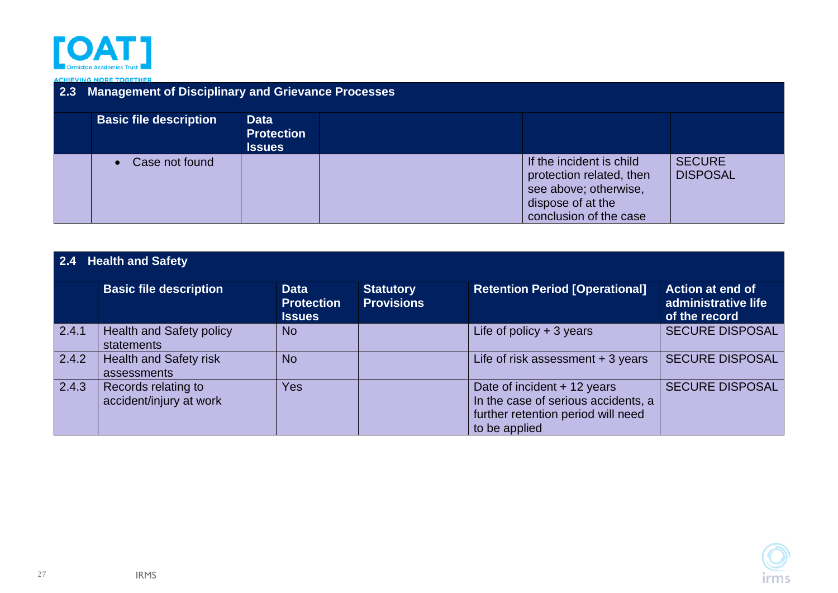

#### **ACHIEVING MORE TOGETHER**

| 2.3 Management of Disciplinary and Grievance Processes |                                                   |                                                                                                                              |                                  |  |  |  |  |  |
|--------------------------------------------------------|---------------------------------------------------|------------------------------------------------------------------------------------------------------------------------------|----------------------------------|--|--|--|--|--|
| <b>Basic file description</b>                          | <b>Data</b><br><b>Protection</b><br><b>Issues</b> |                                                                                                                              |                                  |  |  |  |  |  |
| Case not found<br>$\bullet$                            |                                                   | If the incident is child<br>protection related, then<br>see above; otherwise,<br>dispose of at the<br>conclusion of the case | <b>SECURE</b><br><b>DISPOSAL</b> |  |  |  |  |  |

<span id="page-26-0"></span>

|       | 2.4 Health and Safety                          |                                                   |                                       |                                                                                                                           |                                                                 |  |  |  |  |
|-------|------------------------------------------------|---------------------------------------------------|---------------------------------------|---------------------------------------------------------------------------------------------------------------------------|-----------------------------------------------------------------|--|--|--|--|
|       | <b>Basic file description</b>                  | <b>Data</b><br><b>Protection</b><br><b>Issues</b> | <b>Statutory</b><br><b>Provisions</b> | <b>Retention Period [Operational]</b>                                                                                     | <b>Action at end of</b><br>administrative life<br>of the record |  |  |  |  |
| 2.4.1 | <b>Health and Safety policy</b><br>statements  | No                                                |                                       | Life of policy $+3$ years                                                                                                 | <b>SECURE DISPOSAL</b>                                          |  |  |  |  |
| 2.4.2 | <b>Health and Safety risk</b><br>assessments   | <b>No</b>                                         |                                       | Life of risk assessment $+3$ years                                                                                        | <b>SECURE DISPOSAL</b>                                          |  |  |  |  |
| 2.4.3 | Records relating to<br>accident/injury at work | Yes                                               |                                       | Date of incident + 12 years<br>In the case of serious accidents, a<br>further retention period will need<br>to be applied | <b>SECURE DISPOSAL</b>                                          |  |  |  |  |

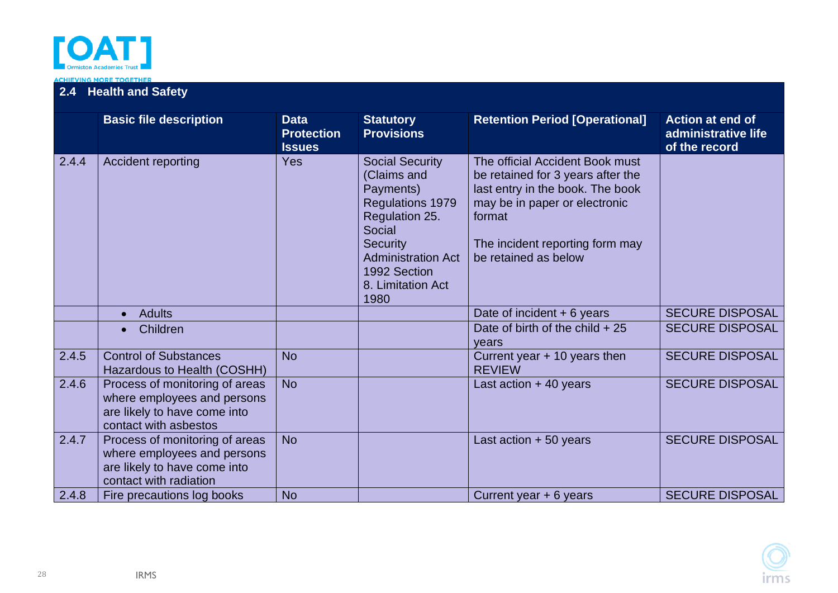

# **2.4 Health and Safety**

|       | <b>Basic file description</b>                                                                                           | <b>Data</b><br><b>Protection</b><br><b>Issues</b> | <b>Statutory</b><br><b>Provisions</b>                                                                                                                                                                  | <b>Retention Period [Operational]</b>                                                                                                                                                                          | Action at end of<br>administrative life<br>of the record |
|-------|-------------------------------------------------------------------------------------------------------------------------|---------------------------------------------------|--------------------------------------------------------------------------------------------------------------------------------------------------------------------------------------------------------|----------------------------------------------------------------------------------------------------------------------------------------------------------------------------------------------------------------|----------------------------------------------------------|
| 2.4.4 | Accident reporting                                                                                                      | Yes                                               | <b>Social Security</b><br>(Claims and<br>Payments)<br><b>Regulations 1979</b><br>Regulation 25.<br>Social<br><b>Security</b><br><b>Administration Act</b><br>1992 Section<br>8. Limitation Act<br>1980 | The official Accident Book must<br>be retained for 3 years after the<br>last entry in the book. The book<br>may be in paper or electronic<br>format<br>The incident reporting form may<br>be retained as below |                                                          |
|       | <b>Adults</b>                                                                                                           |                                                   |                                                                                                                                                                                                        | Date of incident $+6$ years                                                                                                                                                                                    | <b>SECURE DISPOSAL</b>                                   |
|       | Children                                                                                                                |                                                   |                                                                                                                                                                                                        | Date of birth of the child $+25$<br>vears                                                                                                                                                                      | <b>SECURE DISPOSAL</b>                                   |
| 2.4.5 | <b>Control of Substances</b><br>Hazardous to Health (COSHH)                                                             | <b>No</b>                                         |                                                                                                                                                                                                        | Current year $+$ 10 years then<br><b>REVIEW</b>                                                                                                                                                                | <b>SECURE DISPOSAL</b>                                   |
| 2.4.6 | Process of monitoring of areas<br>where employees and persons<br>are likely to have come into<br>contact with asbestos  | <b>No</b>                                         |                                                                                                                                                                                                        | Last action $+40$ years                                                                                                                                                                                        | <b>SECURE DISPOSAL</b>                                   |
| 2.4.7 | Process of monitoring of areas<br>where employees and persons<br>are likely to have come into<br>contact with radiation | <b>No</b>                                         |                                                                                                                                                                                                        | Last action $+50$ years                                                                                                                                                                                        | <b>SECURE DISPOSAL</b>                                   |
| 2.4.8 | Fire precautions log books                                                                                              | <b>No</b>                                         |                                                                                                                                                                                                        | Current year + 6 years                                                                                                                                                                                         | <b>SECURE DISPOSAL</b>                                   |

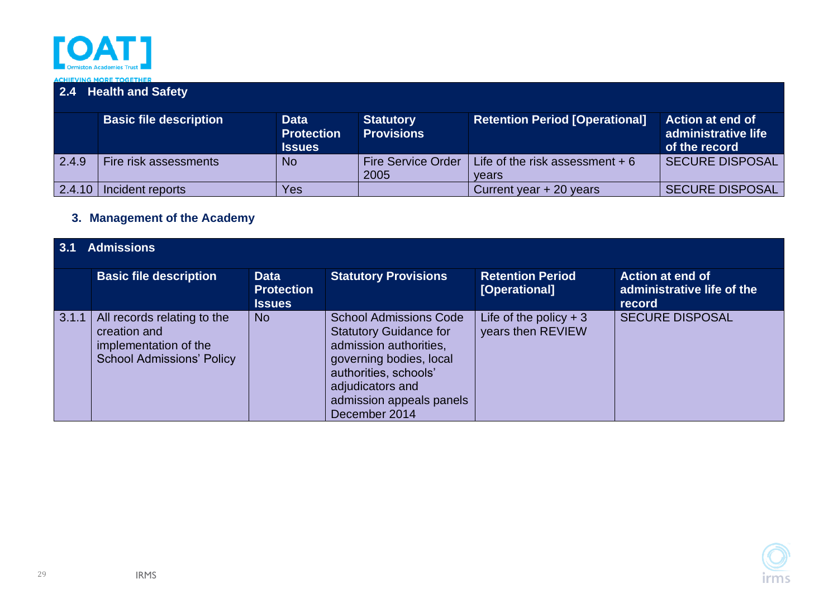

### **2.4 Health and Safety**

|        | <b>Basic file description</b> | <b>Data</b><br><b>Protection</b><br><b>Issues</b> | <b>Statutory</b><br><b>Provisions</b> | <b>Retention Period [Operational]</b>    | <b>Action at end of</b><br>administrative life<br>of the record |
|--------|-------------------------------|---------------------------------------------------|---------------------------------------|------------------------------------------|-----------------------------------------------------------------|
| 2.4.9  | Fire risk assessments         | <b>No</b>                                         | <b>Fire Service Order</b><br>2005     | Life of the risk assessment + 6<br>vears | SECURE DISPOSAL                                                 |
| 2.4.10 | Incident reports              | Yes                                               |                                       | Current year + 20 years                  | <b>SECURE DISPOSAL</b>                                          |

### **3. Management of the Academy**

<span id="page-28-1"></span><span id="page-28-0"></span>

| 3.1   | <b>Admissions</b>                                                                                        |                                                   |                                                                                                                                                                                                               |                                              |                                                                 |  |  |  |  |
|-------|----------------------------------------------------------------------------------------------------------|---------------------------------------------------|---------------------------------------------------------------------------------------------------------------------------------------------------------------------------------------------------------------|----------------------------------------------|-----------------------------------------------------------------|--|--|--|--|
|       | <b>Basic file description</b>                                                                            | <b>Data</b><br><b>Protection</b><br><b>Issues</b> | <b>Statutory Provisions</b>                                                                                                                                                                                   | <b>Retention Period</b><br>[Operational]     | <b>Action at end of</b><br>administrative life of the<br>record |  |  |  |  |
| 3.1.1 | All records relating to the<br>creation and<br>implementation of the<br><b>School Admissions' Policy</b> | <b>No</b>                                         | <b>School Admissions Code</b><br><b>Statutory Guidance for</b><br>admission authorities,<br>governing bodies, local<br>authorities, schools'<br>adjudicators and<br>admission appeals panels<br>December 2014 | Life of the policy $+3$<br>years then REVIEW | <b>SECURE DISPOSAL</b>                                          |  |  |  |  |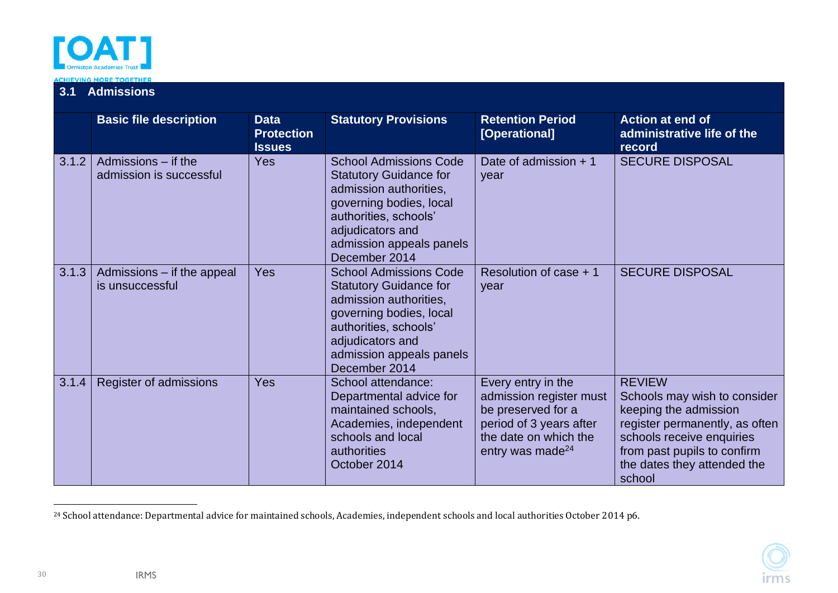

# **3.1 Admissions**

|       | <b>Basic file description</b>                  | <b>Data</b><br><b>Protection</b><br><b>Issues</b> | <b>Statutory Provisions</b>                                                                                                                                                                                   | <b>Retention Period</b><br>[Operational]                                                                                                                | <b>Action at end of</b><br>administrative life of the<br>record                                                                                                                                               |
|-------|------------------------------------------------|---------------------------------------------------|---------------------------------------------------------------------------------------------------------------------------------------------------------------------------------------------------------------|---------------------------------------------------------------------------------------------------------------------------------------------------------|---------------------------------------------------------------------------------------------------------------------------------------------------------------------------------------------------------------|
| 3.1.2 | Admissions – if the<br>admission is successful | Yes                                               | <b>School Admissions Code</b><br><b>Statutory Guidance for</b><br>admission authorities,<br>governing bodies, local<br>authorities, schools'<br>adjudicators and<br>admission appeals panels<br>December 2014 | Date of admission $+1$<br>year                                                                                                                          | <b>SECURE DISPOSAL</b>                                                                                                                                                                                        |
| 3.1.3 | Admissions – if the appeal<br>is unsuccessful  | Yes                                               | <b>School Admissions Code</b><br><b>Statutory Guidance for</b><br>admission authorities,<br>governing bodies, local<br>authorities, schools'<br>adjudicators and<br>admission appeals panels<br>December 2014 | Resolution of case + 1<br>year                                                                                                                          | <b>SECURE DISPOSAL</b>                                                                                                                                                                                        |
| 3.1.4 | Register of admissions                         | Yes                                               | School attendance:<br>Departmental advice for<br>maintained schools,<br>Academies, independent<br>schools and local<br>authorities<br>October 2014                                                            | Every entry in the<br>admission register must<br>be preserved for a<br>period of 3 years after<br>the date on which the<br>entry was made <sup>24</sup> | <b>REVIEW</b><br>Schools may wish to consider<br>keeping the admission<br>register permanently, as often<br>schools receive enquiries<br>from past pupils to confirm<br>the dates they attended the<br>school |

<sup>&</sup>lt;sup>24</sup> School attendance: Departmental advice for maintained schools, Academies, independent schools and local authorities October 2014 p6.

30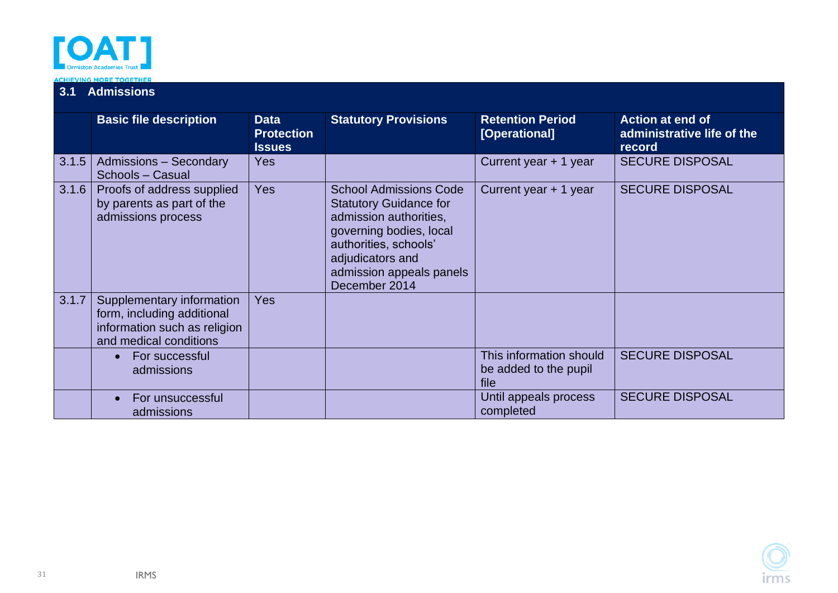

# **3.1 Admissions**

|       | <b>Basic file description</b>                                                                                     | <b>Data</b><br><b>Protection</b><br><b>Issues</b> | <b>Statutory Provisions</b>                                                                                                                                                                                   | <b>Retention Period</b><br>[Operational]                 | <b>Action at end of</b><br>administrative life of the<br>record |
|-------|-------------------------------------------------------------------------------------------------------------------|---------------------------------------------------|---------------------------------------------------------------------------------------------------------------------------------------------------------------------------------------------------------------|----------------------------------------------------------|-----------------------------------------------------------------|
| 3.1.5 | <b>Admissions - Secondary</b><br>Schools - Casual                                                                 | <b>Yes</b>                                        |                                                                                                                                                                                                               | Current year + 1 year                                    | <b>SECURE DISPOSAL</b>                                          |
| 3.1.6 | Proofs of address supplied<br>by parents as part of the<br>admissions process                                     | <b>Yes</b>                                        | <b>School Admissions Code</b><br><b>Statutory Guidance for</b><br>admission authorities,<br>governing bodies, local<br>authorities, schools'<br>adjudicators and<br>admission appeals panels<br>December 2014 | Current year + 1 year                                    | <b>SECURE DISPOSAL</b>                                          |
| 3.1.7 | Supplementary information<br>form, including additional<br>information such as religion<br>and medical conditions | <b>Yes</b>                                        |                                                                                                                                                                                                               |                                                          |                                                                 |
|       | For successful<br>$\bullet$<br>admissions                                                                         |                                                   |                                                                                                                                                                                                               | This information should<br>be added to the pupil<br>file | <b>SECURE DISPOSAL</b>                                          |
|       | For unsuccessful<br>admissions                                                                                    |                                                   |                                                                                                                                                                                                               | Until appeals process<br>completed                       | <b>SECURE DISPOSAL</b>                                          |

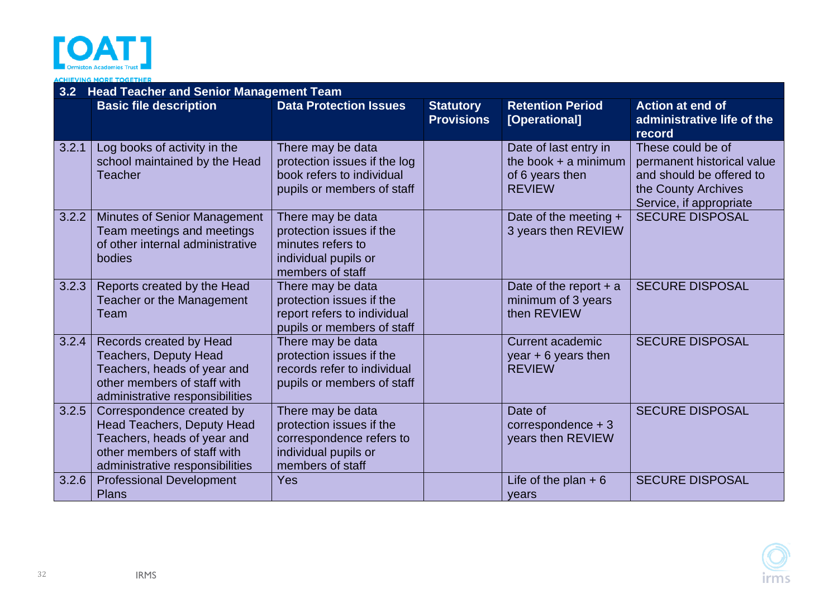

**ACHIEVING MORE TOGETHER** 

<span id="page-31-0"></span>

|       | 3.2 Head Teacher and Senior Management Team                                                                                                                     |                                                                                                                       |                                       |                                                                                     |                                                                                                                               |  |  |  |
|-------|-----------------------------------------------------------------------------------------------------------------------------------------------------------------|-----------------------------------------------------------------------------------------------------------------------|---------------------------------------|-------------------------------------------------------------------------------------|-------------------------------------------------------------------------------------------------------------------------------|--|--|--|
|       | <b>Basic file description</b>                                                                                                                                   | <b>Data Protection Issues</b>                                                                                         | <b>Statutory</b><br><b>Provisions</b> | <b>Retention Period</b><br>[Operational]                                            | <b>Action at end of</b><br>administrative life of the<br>record                                                               |  |  |  |
| 3.2.1 | Log books of activity in the<br>school maintained by the Head<br><b>Teacher</b>                                                                                 | There may be data<br>protection issues if the log<br>book refers to individual<br>pupils or members of staff          |                                       | Date of last entry in<br>the book $+$ a minimum<br>of 6 years then<br><b>REVIEW</b> | These could be of<br>permanent historical value<br>and should be offered to<br>the County Archives<br>Service, if appropriate |  |  |  |
| 3.2.2 | Minutes of Senior Management<br>Team meetings and meetings<br>of other internal administrative<br>bodies                                                        | There may be data<br>protection issues if the<br>minutes refers to<br>individual pupils or<br>members of staff        |                                       | Date of the meeting +<br>3 years then REVIEW                                        | <b>SECURE DISPOSAL</b>                                                                                                        |  |  |  |
| 3.2.3 | Reports created by the Head<br>Teacher or the Management<br>Team                                                                                                | There may be data<br>protection issues if the<br>report refers to individual<br>pupils or members of staff            |                                       | Date of the report $+$ a<br>minimum of 3 years<br>then REVIEW                       | <b>SECURE DISPOSAL</b>                                                                                                        |  |  |  |
| 3.2.4 | Records created by Head<br><b>Teachers, Deputy Head</b><br>Teachers, heads of year and<br>other members of staff with<br>administrative responsibilities        | There may be data<br>protection issues if the<br>records refer to individual<br>pupils or members of staff            |                                       | <b>Current academic</b><br>year $+6$ years then<br><b>REVIEW</b>                    | <b>SECURE DISPOSAL</b>                                                                                                        |  |  |  |
| 3.2.5 | Correspondence created by<br><b>Head Teachers, Deputy Head</b><br>Teachers, heads of year and<br>other members of staff with<br>administrative responsibilities | There may be data<br>protection issues if the<br>correspondence refers to<br>individual pupils or<br>members of staff |                                       | Date of<br>correspondence $+3$<br>years then REVIEW                                 | <b>SECURE DISPOSAL</b>                                                                                                        |  |  |  |
| 3.2.6 | <b>Professional Development</b><br><b>Plans</b>                                                                                                                 | Yes                                                                                                                   |                                       | Life of the plan $+6$<br>years                                                      | <b>SECURE DISPOSAL</b>                                                                                                        |  |  |  |

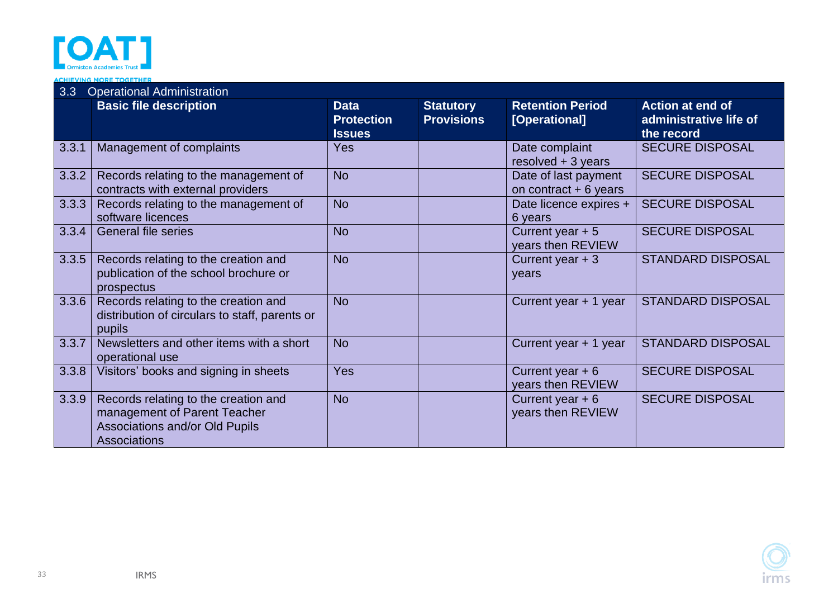

#### **ACHIEVING MORE TOGETHER**

<span id="page-32-0"></span>

| 3.3   | <b>Operational Administration</b>                                                                                                    |                                                   |                                       |                                                |                                                                 |  |  |
|-------|--------------------------------------------------------------------------------------------------------------------------------------|---------------------------------------------------|---------------------------------------|------------------------------------------------|-----------------------------------------------------------------|--|--|
|       | <b>Basic file description</b>                                                                                                        | <b>Data</b><br><b>Protection</b><br><b>Issues</b> | <b>Statutory</b><br><b>Provisions</b> | <b>Retention Period</b><br>[Operational]       | <b>Action at end of</b><br>administrative life of<br>the record |  |  |
| 3.3.1 | Management of complaints                                                                                                             | Yes                                               |                                       | Date complaint<br>resolved $+3$ years          | <b>SECURE DISPOSAL</b>                                          |  |  |
| 3.3.2 | Records relating to the management of<br>contracts with external providers                                                           | <b>No</b>                                         |                                       | Date of last payment<br>on contract $+6$ years | <b>SECURE DISPOSAL</b>                                          |  |  |
| 3.3.3 | Records relating to the management of<br>software licences                                                                           | <b>No</b>                                         |                                       | Date licence expires +<br>6 years              | <b>SECURE DISPOSAL</b>                                          |  |  |
| 3.3.4 | <b>General file series</b>                                                                                                           | <b>No</b>                                         |                                       | Current year $+5$<br>years then REVIEW         | <b>SECURE DISPOSAL</b>                                          |  |  |
| 3.3.5 | Records relating to the creation and<br>publication of the school brochure or<br>prospectus                                          | <b>No</b>                                         |                                       | Current year $+3$<br>years                     | <b>STANDARD DISPOSAL</b>                                        |  |  |
| 3.3.6 | Records relating to the creation and<br>distribution of circulars to staff, parents or<br>pupils                                     | <b>No</b>                                         |                                       | Current year + 1 year                          | <b>STANDARD DISPOSAL</b>                                        |  |  |
| 3.3.7 | Newsletters and other items with a short<br>operational use                                                                          | <b>No</b>                                         |                                       | Current year + 1 year                          | <b>STANDARD DISPOSAL</b>                                        |  |  |
| 3.3.8 | Visitors' books and signing in sheets                                                                                                | Yes                                               |                                       | Current year $+6$<br>years then REVIEW         | <b>SECURE DISPOSAL</b>                                          |  |  |
| 3.3.9 | Records relating to the creation and<br>management of Parent Teacher<br><b>Associations and/or Old Pupils</b><br><b>Associations</b> | <b>No</b>                                         |                                       | Current year $+6$<br>years then REVIEW         | <b>SECURE DISPOSAL</b>                                          |  |  |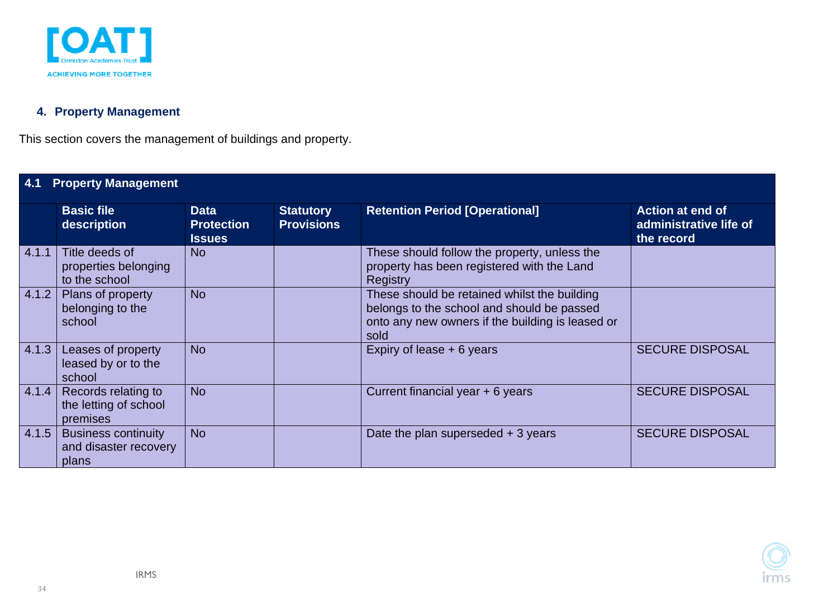

### **4. Property Management**

This section covers the management of buildings and property.

<span id="page-33-1"></span><span id="page-33-0"></span>

|       | <b>Property Management</b>                                   |                                                   |                                       |                                                                                                                                                        |                                                                 |  |  |  |
|-------|--------------------------------------------------------------|---------------------------------------------------|---------------------------------------|--------------------------------------------------------------------------------------------------------------------------------------------------------|-----------------------------------------------------------------|--|--|--|
|       | <b>Basic file</b><br>description                             | <b>Data</b><br><b>Protection</b><br><b>Issues</b> | <b>Statutory</b><br><b>Provisions</b> | <b>Retention Period [Operational]</b>                                                                                                                  | <b>Action at end of</b><br>administrative life of<br>the record |  |  |  |
| 4.1.1 | Title deeds of<br>properties belonging<br>to the school      | <b>No</b>                                         |                                       | These should follow the property, unless the<br>property has been registered with the Land<br><b>Registry</b>                                          |                                                                 |  |  |  |
| 4.1.2 | Plans of property<br>belonging to the<br>school              | <b>No</b>                                         |                                       | These should be retained whilst the building<br>belongs to the school and should be passed<br>onto any new owners if the building is leased or<br>sold |                                                                 |  |  |  |
| 4.1.3 | Leases of property<br>leased by or to the<br>school          | <b>No</b>                                         |                                       | Expiry of lease + 6 years                                                                                                                              | <b>SECURE DISPOSAL</b>                                          |  |  |  |
| 4.1.4 | Records relating to<br>the letting of school<br>premises     | <b>No</b>                                         |                                       | Current financial year + 6 years                                                                                                                       | <b>SECURE DISPOSAL</b>                                          |  |  |  |
| 4.1.5 | <b>Business continuity</b><br>and disaster recovery<br>plans | <b>No</b>                                         |                                       | Date the plan superseded $+3$ years                                                                                                                    | <b>SECURE DISPOSAL</b>                                          |  |  |  |

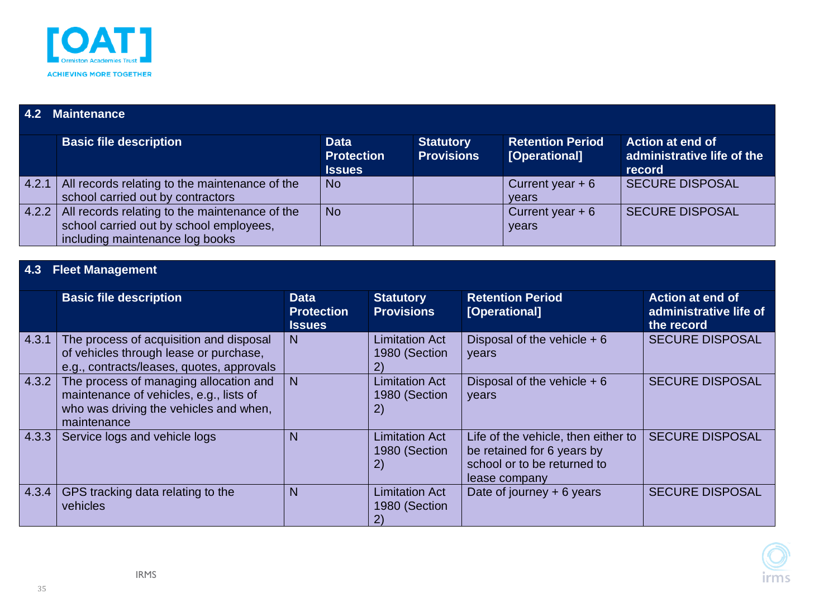

### **4.2 Maintenance**

|       | <b>Basic file description</b>                                                                                                | Data<br><b>Protection</b><br><b>Issues</b> | <b>Statutory</b><br><b>Provisions</b> | <b>Retention Period</b><br>[Operational] | <b>Action at end of</b><br>administrative life of the<br>record |
|-------|------------------------------------------------------------------------------------------------------------------------------|--------------------------------------------|---------------------------------------|------------------------------------------|-----------------------------------------------------------------|
| 4.2.1 | All records relating to the maintenance of the<br>school carried out by contractors                                          | <b>No</b>                                  |                                       | Current year $+6$<br>vears               | <b>SECURE DISPOSAL</b>                                          |
| 4.2.2 | All records relating to the maintenance of the<br>school carried out by school employees,<br>including maintenance log books | <b>No</b>                                  |                                       | Current year $+6$<br>years               | <b>SECURE DISPOSAL</b>                                          |

### **4.3 Fleet Management**

<span id="page-34-1"></span><span id="page-34-0"></span>

|       | <b>Basic file description</b>                                                                                                              | <b>Data</b><br><b>Protection</b><br><b>Issues</b> | <b>Statutory</b><br><b>Provisions</b>        | <b>Retention Period</b><br>[Operational]                                                                          | <b>Action at end of</b><br>administrative life of<br>the record |
|-------|--------------------------------------------------------------------------------------------------------------------------------------------|---------------------------------------------------|----------------------------------------------|-------------------------------------------------------------------------------------------------------------------|-----------------------------------------------------------------|
| 4.3.1 | The process of acquisition and disposal<br>of vehicles through lease or purchase,<br>e.g., contracts/leases, quotes, approvals             | N                                                 | <b>Limitation Act</b><br>1980 (Section       | Disposal of the vehicle $+6$<br>years                                                                             | <b>SECURE DISPOSAL</b>                                          |
| 4.3.2 | The process of managing allocation and<br>maintenance of vehicles, e.g., lists of<br>who was driving the vehicles and when,<br>maintenance | N                                                 | <b>Limitation Act</b><br>1980 (Section<br>2) | Disposal of the vehicle $+6$<br>years                                                                             | <b>SECURE DISPOSAL</b>                                          |
| 4.3.3 | Service logs and vehicle logs                                                                                                              | N                                                 | <b>Limitation Act</b><br>1980 (Section<br>2) | Life of the vehicle, then either to<br>be retained for 6 years by<br>school or to be returned to<br>lease company | <b>SECURE DISPOSAL</b>                                          |
| 4.3.4 | GPS tracking data relating to the<br>vehicles                                                                                              | N                                                 | <b>Limitation Act</b><br>1980 (Section       | Date of journey $+6$ years                                                                                        | <b>SECURE DISPOSAL</b>                                          |

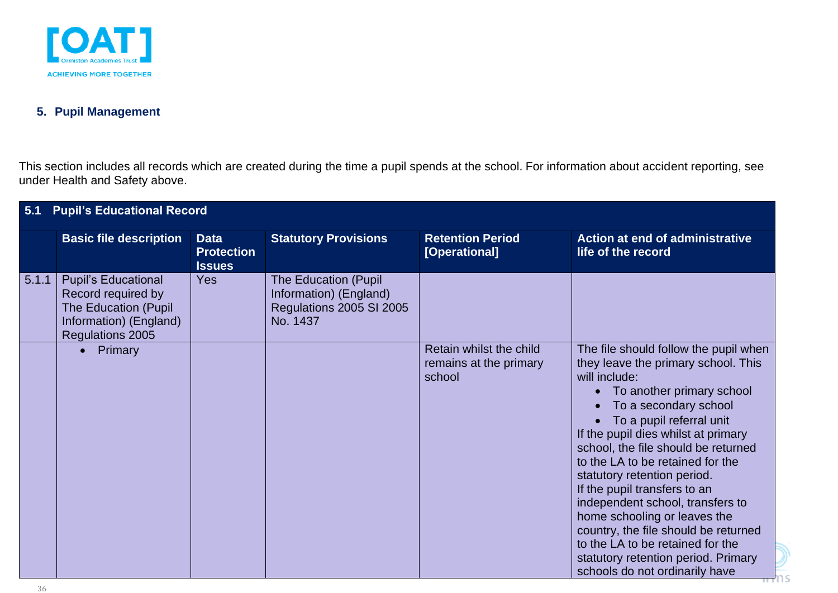

#### **5. Pupil Management**

This section includes all records which are created during the time a pupil spends at the school. For information about accident reporting, see under Health and Safety above.

<span id="page-35-1"></span><span id="page-35-0"></span>

| 5.1   | <b>Pupil's Educational Record</b>                                                                                             |                                                   |                                                                                               |                                                             |                                                                                                                                                                                                                                                                                                                                                                                                                                                                                                                                                                                           |  |  |  |  |
|-------|-------------------------------------------------------------------------------------------------------------------------------|---------------------------------------------------|-----------------------------------------------------------------------------------------------|-------------------------------------------------------------|-------------------------------------------------------------------------------------------------------------------------------------------------------------------------------------------------------------------------------------------------------------------------------------------------------------------------------------------------------------------------------------------------------------------------------------------------------------------------------------------------------------------------------------------------------------------------------------------|--|--|--|--|
|       | <b>Basic file description</b>                                                                                                 | <b>Data</b><br><b>Protection</b><br><b>Issues</b> | <b>Statutory Provisions</b>                                                                   | <b>Retention Period</b><br>[Operational]                    | <b>Action at end of administrative</b><br>life of the record                                                                                                                                                                                                                                                                                                                                                                                                                                                                                                                              |  |  |  |  |
| 5.1.1 | <b>Pupil's Educational</b><br>Record required by<br><b>The Education (Pupil</b><br>Information) (England)<br>Regulations 2005 | Yes                                               | <b>The Education (Pupil</b><br>Information) (England)<br>Regulations 2005 SI 2005<br>No. 1437 |                                                             |                                                                                                                                                                                                                                                                                                                                                                                                                                                                                                                                                                                           |  |  |  |  |
|       | • Primary                                                                                                                     |                                                   |                                                                                               | Retain whilst the child<br>remains at the primary<br>school | The file should follow the pupil when<br>they leave the primary school. This<br>will include:<br>To another primary school<br>To a secondary school<br>To a pupil referral unit<br>If the pupil dies whilst at primary<br>school, the file should be returned<br>to the LA to be retained for the<br>statutory retention period.<br>If the pupil transfers to an<br>independent school, transfers to<br>home schooling or leaves the<br>country, the file should be returned<br>to the LA to be retained for the<br>statutory retention period. Primary<br>schools do not ordinarily have |  |  |  |  |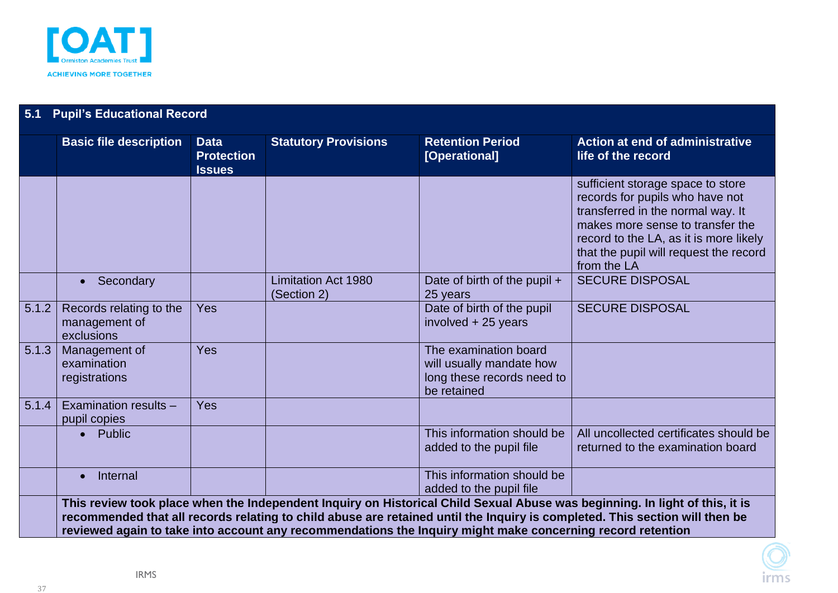

| 5.1   | <b>Pupil's Educational Record</b>                      |                                                   |                                           |                                                                                                            |                                                                                                                                                                                                                                                            |  |  |  |
|-------|--------------------------------------------------------|---------------------------------------------------|-------------------------------------------|------------------------------------------------------------------------------------------------------------|------------------------------------------------------------------------------------------------------------------------------------------------------------------------------------------------------------------------------------------------------------|--|--|--|
|       | <b>Basic file description</b>                          | <b>Data</b><br><b>Protection</b><br><b>Issues</b> | <b>Statutory Provisions</b>               | <b>Retention Period</b><br>[Operational]                                                                   | <b>Action at end of administrative</b><br>life of the record                                                                                                                                                                                               |  |  |  |
|       |                                                        |                                                   |                                           |                                                                                                            | sufficient storage space to store<br>records for pupils who have not<br>transferred in the normal way. It<br>makes more sense to transfer the<br>record to the LA, as it is more likely<br>that the pupil will request the record<br>from the LA           |  |  |  |
|       | Secondary<br>$\bullet$                                 |                                                   | <b>Limitation Act 1980</b><br>(Section 2) | Date of birth of the pupil +<br>25 years                                                                   | <b>SECURE DISPOSAL</b>                                                                                                                                                                                                                                     |  |  |  |
| 5.1.2 | Records relating to the<br>management of<br>exclusions | Yes                                               |                                           | Date of birth of the pupil<br>involved + 25 years                                                          | <b>SECURE DISPOSAL</b>                                                                                                                                                                                                                                     |  |  |  |
| 5.1.3 | Management of<br>examination<br>registrations          | Yes                                               |                                           | The examination board<br>will usually mandate how<br>long these records need to<br>be retained             |                                                                                                                                                                                                                                                            |  |  |  |
| 5.1.4 | Examination results -<br>pupil copies                  | Yes                                               |                                           |                                                                                                            |                                                                                                                                                                                                                                                            |  |  |  |
|       | Public                                                 |                                                   |                                           | This information should be<br>added to the pupil file                                                      | All uncollected certificates should be<br>returned to the examination board                                                                                                                                                                                |  |  |  |
|       | Internal<br>$\bullet$                                  |                                                   |                                           | This information should be<br>added to the pupil file                                                      |                                                                                                                                                                                                                                                            |  |  |  |
|       |                                                        |                                                   |                                           |                                                                                                            | This review took place when the Independent Inquiry on Historical Child Sexual Abuse was beginning. In light of this, it is<br>recommended that all records relating to child abuse are retained until the Inquiry is completed. This section will then be |  |  |  |
|       |                                                        |                                                   |                                           | reviewed again to take into account any recommendations the Inquiry might make concerning record retention |                                                                                                                                                                                                                                                            |  |  |  |

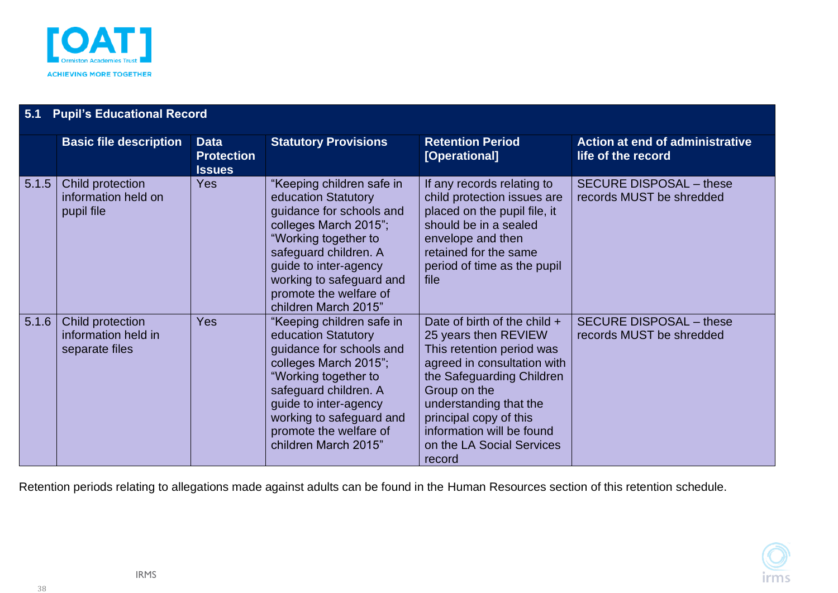

| 5.1   | <b>Pupil's Educational Record</b>                         |                                                   |                                                                                                                                                                                                                                                               |                                                                                                                                                                                                                                                                                         |                                                              |  |  |  |  |
|-------|-----------------------------------------------------------|---------------------------------------------------|---------------------------------------------------------------------------------------------------------------------------------------------------------------------------------------------------------------------------------------------------------------|-----------------------------------------------------------------------------------------------------------------------------------------------------------------------------------------------------------------------------------------------------------------------------------------|--------------------------------------------------------------|--|--|--|--|
|       | <b>Basic file description</b>                             | <b>Data</b><br><b>Protection</b><br><b>Issues</b> | <b>Statutory Provisions</b>                                                                                                                                                                                                                                   | <b>Retention Period</b><br>[Operational]                                                                                                                                                                                                                                                | <b>Action at end of administrative</b><br>life of the record |  |  |  |  |
| 5.1.5 | Child protection<br>information held on<br>pupil file     | <b>Yes</b>                                        | "Keeping children safe in<br>education Statutory<br>guidance for schools and<br>colleges March 2015";<br>"Working together to<br>safeguard children. A<br>guide to inter-agency<br>working to safeguard and<br>promote the welfare of<br>children March 2015" | If any records relating to<br>child protection issues are<br>placed on the pupil file, it<br>should be in a sealed<br>envelope and then<br>retained for the same<br>period of time as the pupil<br>file                                                                                 | <b>SECURE DISPOSAL - these</b><br>records MUST be shredded   |  |  |  |  |
| 5.1.6 | Child protection<br>information held in<br>separate files | Yes                                               | "Keeping children safe in<br>education Statutory<br>guidance for schools and<br>colleges March 2015";<br>"Working together to<br>safeguard children. A<br>guide to inter-agency<br>working to safeguard and<br>promote the welfare of<br>children March 2015" | Date of birth of the child $+$<br>25 years then REVIEW<br>This retention period was<br>agreed in consultation with<br>the Safeguarding Children<br>Group on the<br>understanding that the<br>principal copy of this<br>information will be found<br>on the LA Social Services<br>record | <b>SECURE DISPOSAL - these</b><br>records MUST be shredded   |  |  |  |  |

Retention periods relating to allegations made against adults can be found in the Human Resources section of this retention schedule.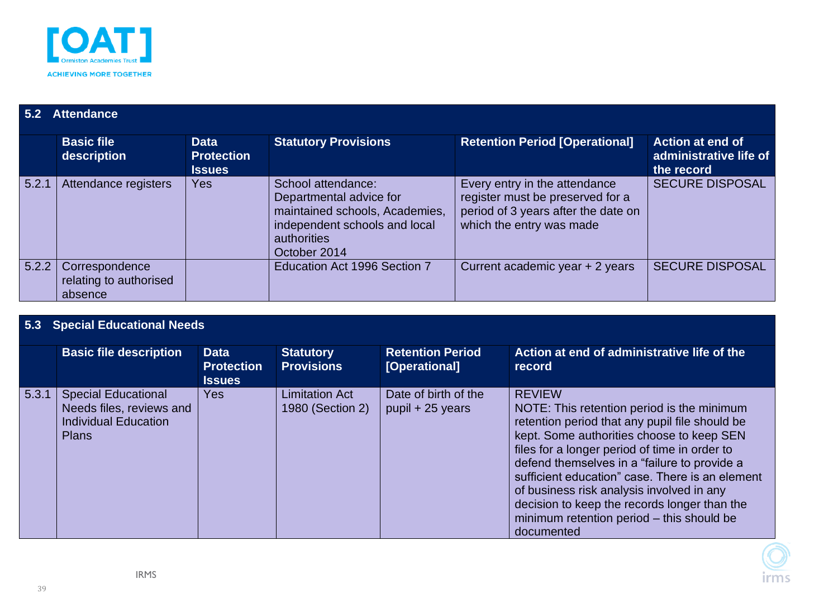

#### **5.2 Attendance Basic file description Data Protection Issues Statutory Provisions Retention Period [Operational] Action at end of <b>Retention Period [Operational] administrative life of the record** 5.2.1 Attendance registers | Yes | School attendance: Departmental advice for maintained schools, Academies, independent schools and local authorities October 2014 Every entry in the attendance register must be preserved for a period of 3 years after the date on which the entry was made SECURE DISPOSAL 5.2.2 Correspondence relating to authorised absence Education Act 1996 Section 7 | Current academic year + 2 years | SECURE DISPOSAL

#### **5.3 Special Educational Needs**

<span id="page-38-1"></span><span id="page-38-0"></span>

|       | <b>Basic file description</b>                                                                         | <b>Data</b><br><b>Protection</b><br><b>Issues</b> | <b>Statutory</b><br><b>Provisions</b>     | <b>Retention Period</b><br>[Operational] | Action at end of administrative life of the<br>record                                                                                                                                                                                                                                                                                                                                                                                                                  |
|-------|-------------------------------------------------------------------------------------------------------|---------------------------------------------------|-------------------------------------------|------------------------------------------|------------------------------------------------------------------------------------------------------------------------------------------------------------------------------------------------------------------------------------------------------------------------------------------------------------------------------------------------------------------------------------------------------------------------------------------------------------------------|
| 5.3.1 | <b>Special Educational</b><br>Needs files, reviews and<br><b>Individual Education</b><br><b>Plans</b> | Yes                                               | <b>Limitation Act</b><br>1980 (Section 2) | Date of birth of the<br>pupil + 25 years | <b>REVIEW</b><br>NOTE: This retention period is the minimum<br>retention period that any pupil file should be<br>kept. Some authorities choose to keep SEN<br>files for a longer period of time in order to<br>defend themselves in a "failure to provide a<br>sufficient education" case. There is an element<br>of business risk analysis involved in any<br>decision to keep the records longer than the<br>minimum retention period - this should be<br>documented |

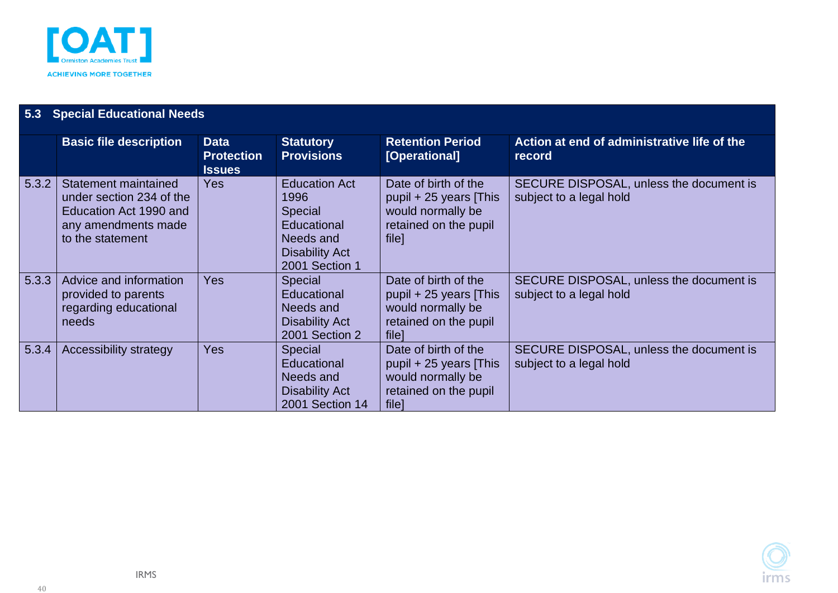

| 5.3   | <b>Special Educational Needs</b>                                                                                      |                                                   |                                                                                                                       |                                                                                                        |                                                                    |  |  |  |  |
|-------|-----------------------------------------------------------------------------------------------------------------------|---------------------------------------------------|-----------------------------------------------------------------------------------------------------------------------|--------------------------------------------------------------------------------------------------------|--------------------------------------------------------------------|--|--|--|--|
|       | <b>Basic file description</b>                                                                                         | <b>Data</b><br><b>Protection</b><br><b>Issues</b> | <b>Statutory</b><br><b>Provisions</b>                                                                                 | <b>Retention Period</b><br>[Operational]                                                               | Action at end of administrative life of the<br>record              |  |  |  |  |
| 5.3.2 | Statement maintained<br>under section 234 of the<br>Education Act 1990 and<br>any amendments made<br>to the statement | <b>Yes</b>                                        | <b>Education Act</b><br>1996<br><b>Special</b><br>Educational<br>Needs and<br><b>Disability Act</b><br>2001 Section 1 | Date of birth of the<br>pupil $+25$ years [This<br>would normally be<br>retained on the pupil<br>file] | SECURE DISPOSAL, unless the document is<br>subject to a legal hold |  |  |  |  |
| 5.3.3 | Advice and information<br>provided to parents<br>regarding educational<br>needs                                       | <b>Yes</b>                                        | <b>Special</b><br>Educational<br>Needs and<br><b>Disability Act</b><br>2001 Section 2                                 | Date of birth of the<br>pupil $+25$ years [This<br>would normally be<br>retained on the pupil<br>filel | SECURE DISPOSAL, unless the document is<br>subject to a legal hold |  |  |  |  |
| 5.3.4 | Accessibility strategy                                                                                                | <b>Yes</b>                                        | <b>Special</b><br>Educational<br>Needs and<br><b>Disability Act</b><br>2001 Section 14                                | Date of birth of the<br>pupil $+25$ years [This<br>would normally be<br>retained on the pupil<br>file] | SECURE DISPOSAL, unless the document is<br>subject to a legal hold |  |  |  |  |

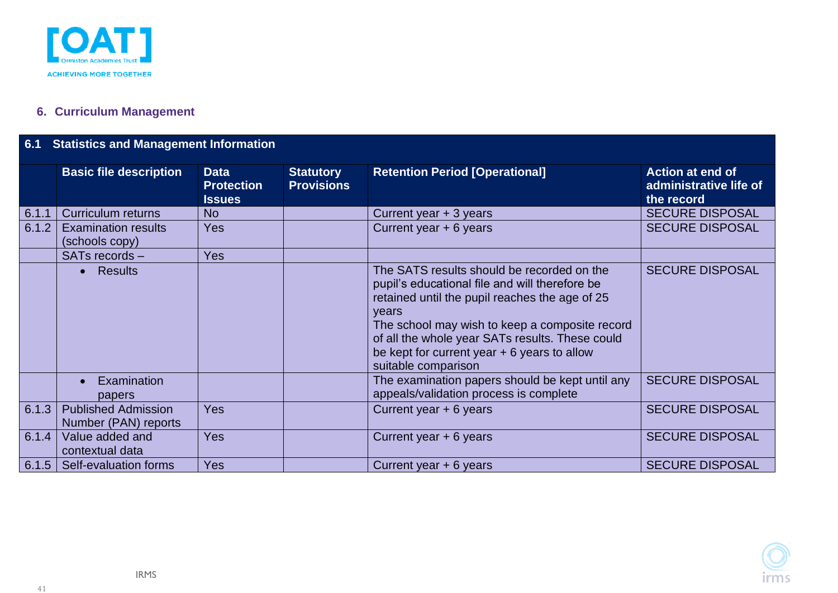

### **6. Curriculum Management**

### **6.1 Statistics and Management Information**

<span id="page-40-1"></span><span id="page-40-0"></span>

|       | <b>Basic file description</b>                      | <b>Data</b><br><b>Protection</b><br><b>Issues</b> | <b>Statutory</b><br><b>Provisions</b> | <b>Retention Period [Operational]</b>                                                                                                                                                                                                                                                                                                | <b>Action at end of</b><br>administrative life of<br>the record |
|-------|----------------------------------------------------|---------------------------------------------------|---------------------------------------|--------------------------------------------------------------------------------------------------------------------------------------------------------------------------------------------------------------------------------------------------------------------------------------------------------------------------------------|-----------------------------------------------------------------|
| 6.1.1 | <b>Curriculum returns</b>                          | <b>No</b>                                         |                                       | Current year + 3 years                                                                                                                                                                                                                                                                                                               | <b>SECURE DISPOSAL</b>                                          |
| 6.1.2 | <b>Examination results</b><br>(schools copy)       | <b>Yes</b>                                        |                                       | Current year + 6 years                                                                                                                                                                                                                                                                                                               | <b>SECURE DISPOSAL</b>                                          |
|       | SATs records -                                     | <b>Yes</b>                                        |                                       |                                                                                                                                                                                                                                                                                                                                      |                                                                 |
|       | <b>Results</b>                                     |                                                   |                                       | The SATS results should be recorded on the<br>pupil's educational file and will therefore be<br>retained until the pupil reaches the age of 25<br>years<br>The school may wish to keep a composite record<br>of all the whole year SATs results. These could<br>be kept for current year $+ 6$ years to allow<br>suitable comparison | <b>SECURE DISPOSAL</b>                                          |
|       | Examination<br>papers                              |                                                   |                                       | The examination papers should be kept until any<br>appeals/validation process is complete                                                                                                                                                                                                                                            | <b>SECURE DISPOSAL</b>                                          |
| 6.1.3 | <b>Published Admission</b><br>Number (PAN) reports | Yes                                               |                                       | Current year + 6 years                                                                                                                                                                                                                                                                                                               | <b>SECURE DISPOSAL</b>                                          |
| 6.1.4 | Value added and<br>contextual data                 | <b>Yes</b>                                        |                                       | Current year + 6 years                                                                                                                                                                                                                                                                                                               | <b>SECURE DISPOSAL</b>                                          |
| 6.1.5 | Self-evaluation forms                              | <b>Yes</b>                                        |                                       | Current year + 6 years                                                                                                                                                                                                                                                                                                               | <b>SECURE DISPOSAL</b>                                          |

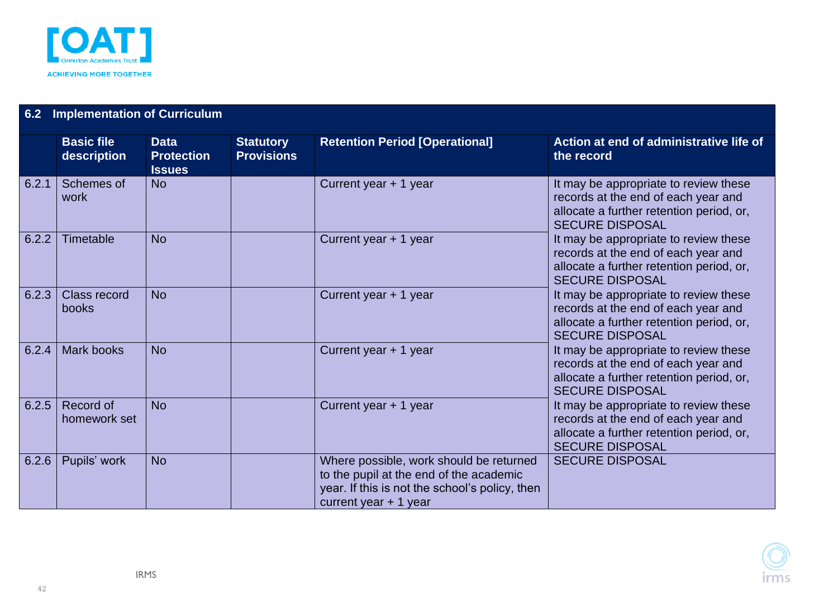

<span id="page-41-0"></span>

| 6.2   | <b>Implementation of Curriculum</b> |                                                   |                                       |                                                                                                                                                                |                                                                                                                                                    |  |  |  |  |  |
|-------|-------------------------------------|---------------------------------------------------|---------------------------------------|----------------------------------------------------------------------------------------------------------------------------------------------------------------|----------------------------------------------------------------------------------------------------------------------------------------------------|--|--|--|--|--|
|       | <b>Basic file</b><br>description    | <b>Data</b><br><b>Protection</b><br><b>Issues</b> | <b>Statutory</b><br><b>Provisions</b> | <b>Retention Period [Operational]</b>                                                                                                                          | Action at end of administrative life of<br>the record                                                                                              |  |  |  |  |  |
| 6.2.1 | Schemes of<br>work                  | <b>No</b>                                         |                                       | Current year + 1 year                                                                                                                                          | It may be appropriate to review these<br>records at the end of each year and<br>allocate a further retention period, or,<br><b>SECURE DISPOSAL</b> |  |  |  |  |  |
| 6.2.2 | Timetable                           | <b>No</b>                                         |                                       | Current year + 1 year                                                                                                                                          | It may be appropriate to review these<br>records at the end of each year and<br>allocate a further retention period, or,<br><b>SECURE DISPOSAL</b> |  |  |  |  |  |
| 6.2.3 | <b>Class record</b><br>books        | <b>No</b>                                         |                                       | Current year + 1 year                                                                                                                                          | It may be appropriate to review these<br>records at the end of each year and<br>allocate a further retention period, or,<br><b>SECURE DISPOSAL</b> |  |  |  |  |  |
| 6.2.4 | <b>Mark books</b>                   | <b>No</b>                                         |                                       | Current year + 1 year                                                                                                                                          | It may be appropriate to review these<br>records at the end of each year and<br>allocate a further retention period, or,<br><b>SECURE DISPOSAL</b> |  |  |  |  |  |
| 6.2.5 | Record of<br>homework set           | <b>No</b>                                         |                                       | Current year + 1 year                                                                                                                                          | It may be appropriate to review these<br>records at the end of each year and<br>allocate a further retention period, or,<br><b>SECURE DISPOSAL</b> |  |  |  |  |  |
| 6.2.6 | Pupils' work                        | <b>No</b>                                         |                                       | Where possible, work should be returned<br>to the pupil at the end of the academic<br>year. If this is not the school's policy, then<br>current year $+1$ year | <b>SECURE DISPOSAL</b>                                                                                                                             |  |  |  |  |  |

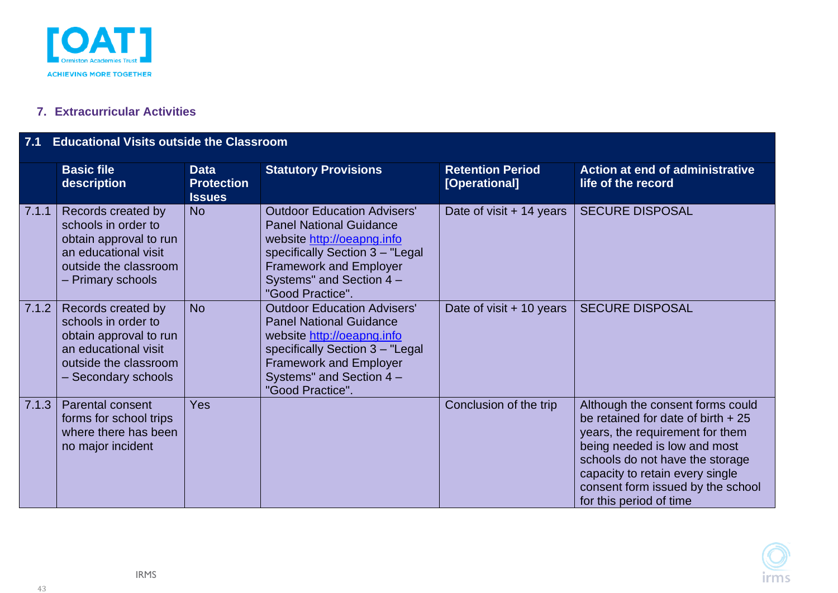

#### **7. Extracurricular Activities**

#### **7.1 Educational Visits outside the Classroom**

<span id="page-42-1"></span><span id="page-42-0"></span>

|       | <b>Basic file</b><br>description                                                                                                            | <b>Data</b><br><b>Protection</b><br><b>Issues</b> | <b>Statutory Provisions</b>                                                                                                                                                                                            | <b>Retention Period</b><br>[Operational] | <b>Action at end of administrative</b><br>life of the record                                                                                                                                                                                                                     |
|-------|---------------------------------------------------------------------------------------------------------------------------------------------|---------------------------------------------------|------------------------------------------------------------------------------------------------------------------------------------------------------------------------------------------------------------------------|------------------------------------------|----------------------------------------------------------------------------------------------------------------------------------------------------------------------------------------------------------------------------------------------------------------------------------|
| 7.1.1 | Records created by<br>schools in order to<br>obtain approval to run<br>an educational visit<br>outside the classroom<br>- Primary schools   | <b>No</b>                                         | <b>Outdoor Education Advisers'</b><br><b>Panel National Guidance</b><br>website http://oeapng.info<br>specifically Section 3 - "Legal<br><b>Framework and Employer</b><br>Systems" and Section 4 -<br>"Good Practice". | Date of visit + 14 years                 | <b>SECURE DISPOSAL</b>                                                                                                                                                                                                                                                           |
| 7.1.2 | Records created by<br>schools in order to<br>obtain approval to run<br>an educational visit<br>outside the classroom<br>- Secondary schools | <b>No</b>                                         | <b>Outdoor Education Advisers'</b><br><b>Panel National Guidance</b><br>website http://oeapng.info<br>specifically Section 3 - "Legal<br><b>Framework and Employer</b><br>Systems" and Section 4 -<br>"Good Practice". | Date of visit + 10 years                 | <b>SECURE DISPOSAL</b>                                                                                                                                                                                                                                                           |
| 7.1.3 | Parental consent<br>forms for school trips<br>where there has been<br>no major incident                                                     | <b>Yes</b>                                        |                                                                                                                                                                                                                        | Conclusion of the trip                   | Although the consent forms could<br>be retained for date of birth $+25$<br>years, the requirement for them<br>being needed is low and most<br>schools do not have the storage<br>capacity to retain every single<br>consent form issued by the school<br>for this period of time |

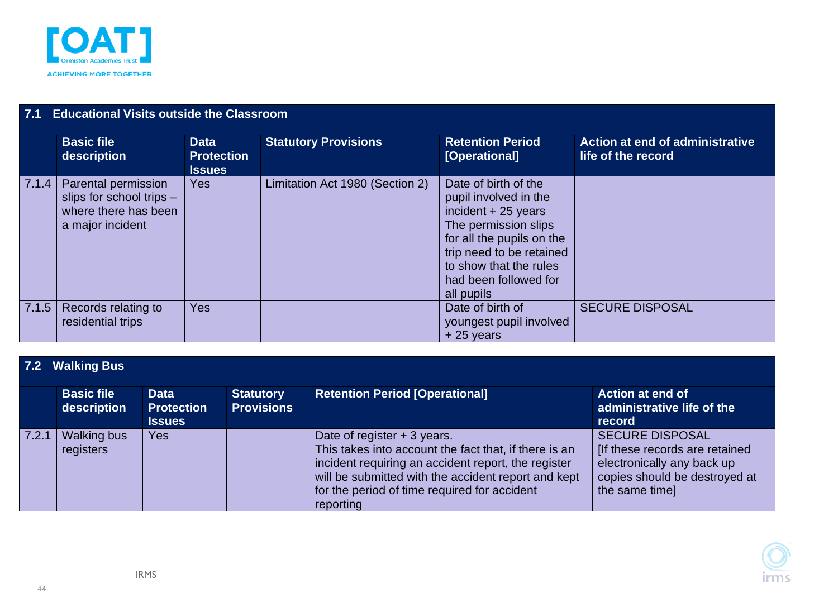

| 7.1   | <b>Educational Visits outside the Classroom</b>                                             |                                                   |                                 |                                                                                                                                                                                                                         |                                                       |  |  |  |  |
|-------|---------------------------------------------------------------------------------------------|---------------------------------------------------|---------------------------------|-------------------------------------------------------------------------------------------------------------------------------------------------------------------------------------------------------------------------|-------------------------------------------------------|--|--|--|--|
|       | <b>Basic file</b><br>description                                                            | <b>Data</b><br><b>Protection</b><br><b>Issues</b> | <b>Statutory Provisions</b>     | <b>Retention Period</b><br>[Operational]                                                                                                                                                                                | Action at end of administrative<br>life of the record |  |  |  |  |
| 7.1.4 | Parental permission<br>slips for school trips -<br>where there has been<br>a major incident | <b>Yes</b>                                        | Limitation Act 1980 (Section 2) | Date of birth of the<br>pupil involved in the<br>incident $+25$ years<br>The permission slips<br>for all the pupils on the<br>trip need to be retained<br>to show that the rules<br>had been followed for<br>all pupils |                                                       |  |  |  |  |
| 7.1.5 | Records relating to<br>residential trips                                                    | <b>Yes</b>                                        |                                 | Date of birth of<br>youngest pupil involved<br>$+25$ years                                                                                                                                                              | <b>SECURE DISPOSAL</b>                                |  |  |  |  |

### **7.2 Walking Bus**

<span id="page-43-0"></span>

|       | <b>Basic file</b><br>description | <b>Data</b><br><b>Protection</b><br><b>Issues</b> | <b>Statutory</b><br><b>Provisions</b> | <b>Retention Period [Operational]</b>                                                                                                                                                                                                                           | <b>Action at end of</b><br>administrative life of the<br>record                                                                           |
|-------|----------------------------------|---------------------------------------------------|---------------------------------------|-----------------------------------------------------------------------------------------------------------------------------------------------------------------------------------------------------------------------------------------------------------------|-------------------------------------------------------------------------------------------------------------------------------------------|
| 7.2.1 | <b>Walking bus</b><br>registers  | <b>Yes</b>                                        |                                       | Date of register + 3 years.<br>This takes into account the fact that, if there is an<br>incident requiring an accident report, the register<br>will be submitted with the accident report and kept<br>for the period of time required for accident<br>reporting | <b>SECURE DISPOSAL</b><br>[If these records are retained<br>electronically any back up<br>copies should be destroyed at<br>the same time] |

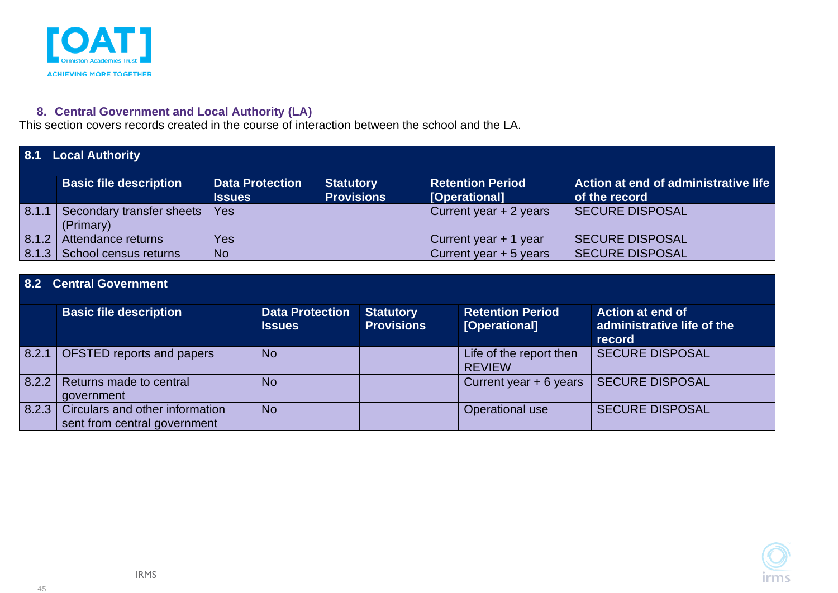

#### **8. Central Government and Local Authority (LA)**

This section covers records created in the course of interaction between the school and the LA.

|       | 8.1 Local Authority                    |                                         |                                       |                                          |                                                       |  |  |  |
|-------|----------------------------------------|-----------------------------------------|---------------------------------------|------------------------------------------|-------------------------------------------------------|--|--|--|
|       | <b>Basic file description</b>          | <b>Data Protection</b><br><b>Issues</b> | <b>Statutory</b><br><b>Provisions</b> | <b>Retention Period</b><br>[Operational] | Action at end of administrative life<br>of the record |  |  |  |
| 8.1.1 | Secondary transfer sheets<br>(Primary) | Yes                                     |                                       | Current year $+2$ years                  | SECURE DISPOSAL                                       |  |  |  |
| 8.1.2 | Attendance returns                     | Yes                                     |                                       | Current year $+1$ year                   | <b>SECURE DISPOSAL</b>                                |  |  |  |
|       | 8.1.3 School census returns            | <b>No</b>                               |                                       | Current year $+5$ years                  | <b>SECURE DISPOSAL</b>                                |  |  |  |

#### **8.2 Central Government**

<span id="page-44-2"></span><span id="page-44-1"></span><span id="page-44-0"></span>

|       | <b>Basic file description</b>                                   | <b>Data Protection</b><br><b>Issues</b> | <b>Statutory</b><br><b>Provisions</b> | <b>Retention Period</b><br>[Operational] | <b>Action at end of</b><br>administrative life of the<br>record |
|-------|-----------------------------------------------------------------|-----------------------------------------|---------------------------------------|------------------------------------------|-----------------------------------------------------------------|
| 8.2.1 | <b>OFSTED reports and papers</b>                                | <b>No</b>                               |                                       | Life of the report then<br><b>REVIEW</b> | <b>SECURE DISPOSAL</b>                                          |
| 8.2.2 | Returns made to central<br>government                           | <b>No</b>                               |                                       | Current year $+ 6$ years                 | <b>SECURE DISPOSAL</b>                                          |
| 8.2.3 | Circulars and other information<br>sent from central government | <b>No</b>                               |                                       | <b>Operational use</b>                   | <b>SECURE DISPOSAL</b>                                          |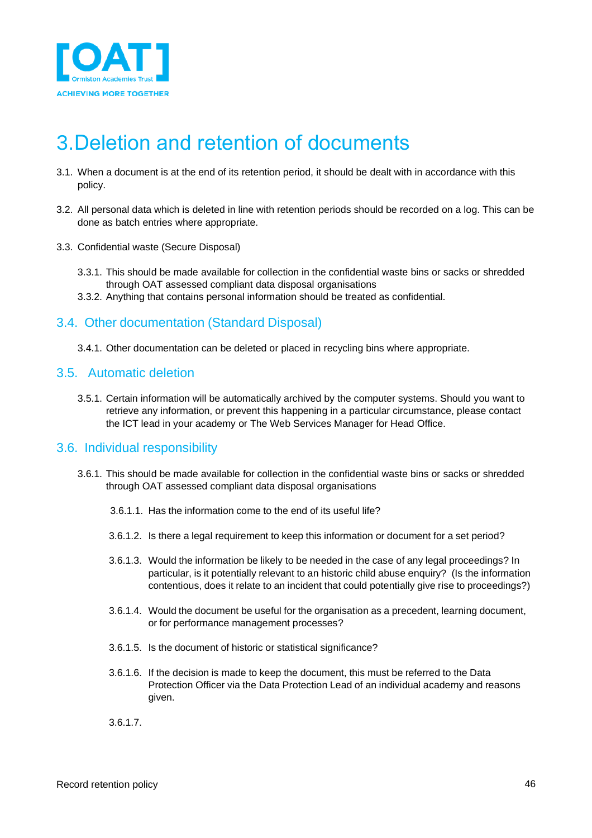

### <span id="page-45-0"></span>3.Deletion and retention of documents

- 3.1. When a document is at the end of its retention period, it should be dealt with in accordance with this policy.
- 3.2. All personal data which is deleted in line with retention periods should be recorded on a log. This can be done as batch entries where appropriate.
- 3.3. Confidential waste (Secure Disposal)
	- 3.3.1. This should be made available for collection in the confidential waste bins or sacks or shredded through OAT assessed compliant data disposal organisations
	- 3.3.2. Anything that contains personal information should be treated as confidential.

#### <span id="page-45-1"></span>3.4. Other documentation (Standard Disposal)

<span id="page-45-2"></span>3.4.1. Other documentation can be deleted or placed in recycling bins where appropriate.

#### 3.5. Automatic deletion

3.5.1. Certain information will be automatically archived by the computer systems. Should you want to retrieve any information, or prevent this happening in a particular circumstance, please contact the ICT lead in your academy or The Web Services Manager for Head Office.

#### <span id="page-45-3"></span>3.6. Individual responsibility

- 3.6.1. This should be made available for collection in the confidential waste bins or sacks or shredded through OAT assessed compliant data disposal organisations
	- 3.6.1.1. Has the information come to the end of its useful life?
	- 3.6.1.2. Is there a legal requirement to keep this information or document for a set period?
	- 3.6.1.3. Would the information be likely to be needed in the case of any legal proceedings? In particular, is it potentially relevant to an historic child abuse enquiry? (Is the information contentious, does it relate to an incident that could potentially give rise to proceedings?)
	- 3.6.1.4. Would the document be useful for the organisation as a precedent, learning document, or for performance management processes?
	- 3.6.1.5. Is the document of historic or statistical significance?
	- 3.6.1.6. If the decision is made to keep the document, this must be referred to the Data Protection Officer via the Data Protection Lead of an individual academy and reasons given.
	- 3.6.1.7.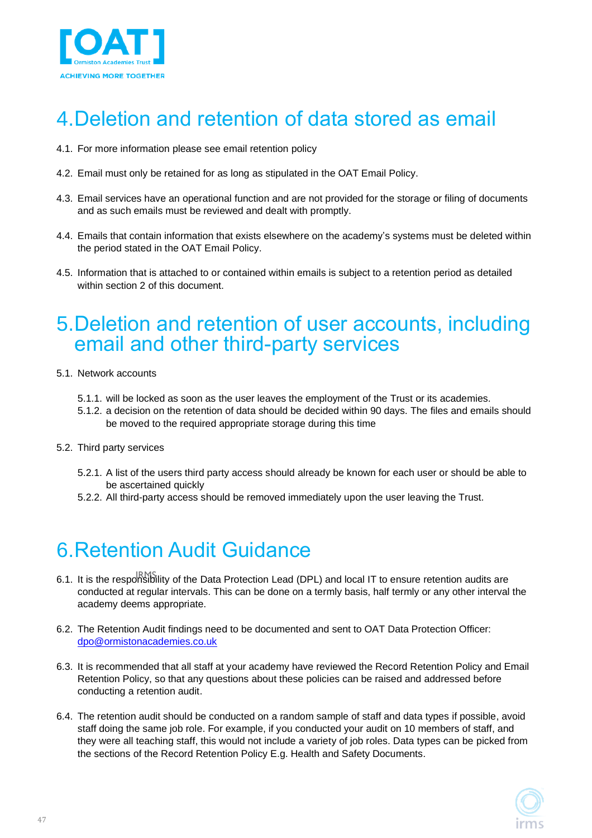

### <span id="page-46-0"></span>4.Deletion and retention of data stored as email

- 4.1. For more information please see email retention policy
- 4.2. Email must only be retained for as long as stipulated in the OAT Email Policy.
- 4.3. Email services have an operational function and are not provided for the storage or filing of documents and as such emails must be reviewed and dealt with promptly.
- 4.4. Emails that contain information that exists elsewhere on the academy's systems must be deleted within the period stated in the OAT Email Policy.
- 4.5. Information that is attached to or contained within emails is subject to a retention period as detailed within section 2 of this document.

### <span id="page-46-1"></span>5.Deletion and retention of user accounts, including email and other third-party services

- 5.1. Network accounts
	- 5.1.1. will be locked as soon as the user leaves the employment of the Trust or its academies.
	- 5.1.2. a decision on the retention of data should be decided within 90 days. The files and emails should be moved to the required appropriate storage during this time
- 5.2. Third party services
	- 5.2.1. A list of the users third party access should already be known for each user or should be able to be ascertained quickly
	- 5.2.2. All third-party access should be removed immediately upon the user leaving the Trust.

### <span id="page-46-2"></span>6.Retention Audit Guidance

- 6.1. It is the responsibility of the Data Protection Lead (DPL) and local IT to ensure retention audits are According the responsionity of the Data Procedular Beau (BPB) and recain the energy retention during any order<br>Conducted at regular intervals. This can be done on a termly basis, half termly or any other interval the gaiai intoi academy deems appropriate.
- 6.2. The Retention Audit findings need to be documented and sent to OAT Data Protection Officer: [dpo@ormistonacademies.co.uk](mailto:dpo@ormistonacademies.co.uk)
- 6.3. It is recommended that all staff at your academy have reviewed the Record Retention Policy and Email Retention Policy, so that any questions about these policies can be raised and addressed before conducting a retention audit.
- 6.4. The retention audit should be conducted on a random sample of staff and data types if possible, avoid staff doing the same job role. For example, if you conducted your audit on 10 members of staff, and they were all teaching staff, this would not include a variety of job roles. Data types can be picked from the sections of the Record Retention Policy E.g. Health and Safety Documents.